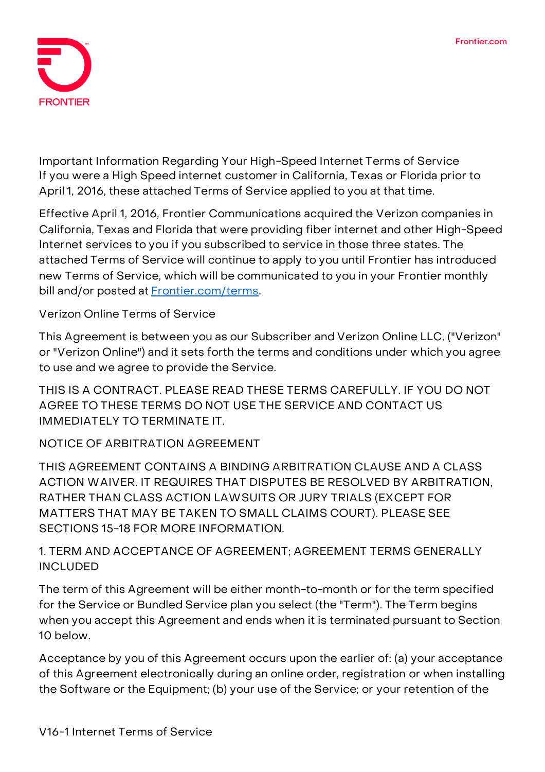

**Important Information Regarding Your High-Speed Internet Terms of Service If you were a High Speed internet customer in California, Texas or Florida prior to April 1, 2016, these attached Terms of Service applied to you at that time.**

**Effective April 1, 2016, Frontier Communications acquired the Verizon companies in California, Texas and Florida that were providing fiber internet and other High-Speed Internet services to you if you subscribed to service in those three states. The attached Terms of Service will continue to apply to you until Frontier has introduced new Terms of Service, which will be communicated to you in your Frontier monthly bill and/or posted at [Frontier.com/terms.](https://frontier.com/corporate/terms)**

**Verizon Online Terms of Service**

This Agreement is between you as our Subscriber and Verizon Online LLC, ("Verizon" or "Verizon Online") and it sets forth the terms and conditions under which you agree to use and we agree to provide the Service.

THIS IS A CONTRACT. PLEASE READ THESE TERMS CAREFULLY. IF YOU DO NOT AGREE TO THESE TERMS DO NOT USE THE SERVICE AND CONTACT US IMMEDIATELY TO TERMINATE IT.

**NOTICE OF ARBITRATION AGREEMENT**

**THIS AGREEMENT CONTAINS A BINDING ARBITRATION CLAUSE AND A CLASS ACTION WAIVER. IT REQUIRES THAT DISPUTES BE RESOLVED BY ARBITRATION, RATHER THAN CLASS ACTION LAWSUITS OR JURY TRIALS (EXCEPT FOR MATTERS THAT MAY BE TAKEN TO SMALL CLAIMS COURT). PLEASE SEE SECTIONS 15-18 FOR MORE INFORMATION.**

**1. TERM AND ACCEPTANCE OF AGREEMENT; AGREEMENT TERMS GENERALLY INCLUDED**

The term of this Agreement will be either month-to-month or for the term specified for the Service or Bundled Service plan you select (the "Term"). The Term begins when you accept this Agreement and ends when it is terminated pursuant to Section 10 below.

Acceptance by you of this Agreement occurs upon the earlier of: (a) your acceptance of this Agreement electronically during an online order, registration or when installing the Software or the Equipment; (b) your use of the Service; or your retention of the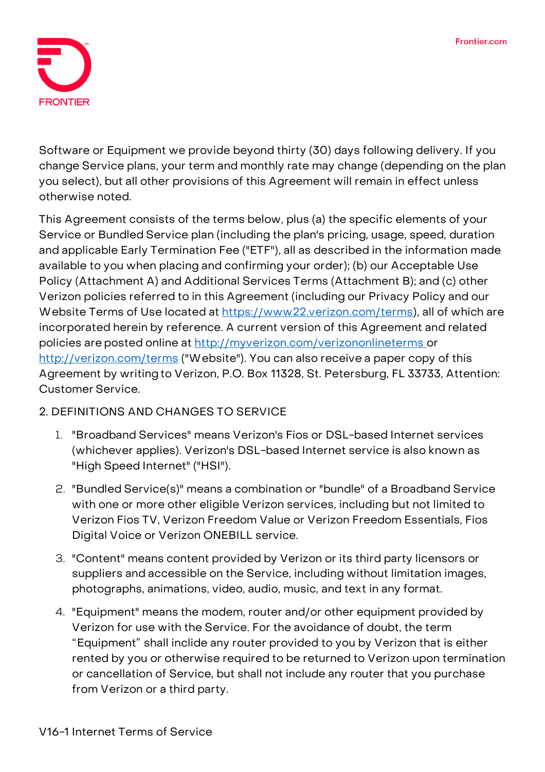

Software or Equipment we provide beyond thirty (30) days following delivery. If you change Service plans, your term and monthly rate may change (depending on the plan you select), but all other provisions of this Agreement will remain in effect unless otherwise noted.

This Agreement consists of the terms below, plus (a) the specific elements of your Service or Bundled Service plan (including the plan's pricing, usage, speed, duration and applicable Early Termination Fee ("ETF"), all as described in the information made available to you when placing and confirming your order); (b) our Acceptable Use Policy (Attachment A) and Additional Services Terms (Attachment B); and (c) other Verizon policies referred to in this Agreement (including our Privacy Policy and our Website Terms of Use located at [https://www22.verizon.com/terms\)](https://www22.verizon.com/terms), all of which are incorporated herein by reference. A current version of this Agreement and related policies are posted online at [http://myverizon.com/verizononlineterms o](http://myverizon.com/verizononlineterms)r <http://verizon.com/terms> ("Website"). You can also receive a paper copy of this Agreement by writing to Verizon, P.O. Box 11328, St. Petersburg, FL 33733, Attention: Customer Service.

# **2. DEFINITIONS AND CHANGES TO SERVICE**

- 1. "Broadband Services" means Verizon's Fios or DSL-based Internet services (whichever applies). Verizon's DSL-based Internet service is also known as "High Speed Internet" ("HSI").
- 2. "Bundled Service(s)" means a combination or "bundle" of a Broadband Service with one or more other eligible Verizon services, including but not limited to Verizon Fios TV, Verizon Freedom Value or Verizon Freedom Essentials, Fios Digital Voice or Verizon ONEBILL service.
- 3. "Content" means content provided by Verizon or its third party licensors or suppliers and accessible on the Service, including without limitation images, photographs, animations, video, audio, music, and text in any format.
- 4. "Equipment" means the modem, router and/or other equipment provided by Verizon for use with the Service. For the avoidance of doubt, the term "Equipment" shall inclide any router provided to you by Verizon that is either rented by you or otherwise required to be returned to Verizon upon termination or cancellation of Service, but shall not include any router that you purchase from Verizon or a third party.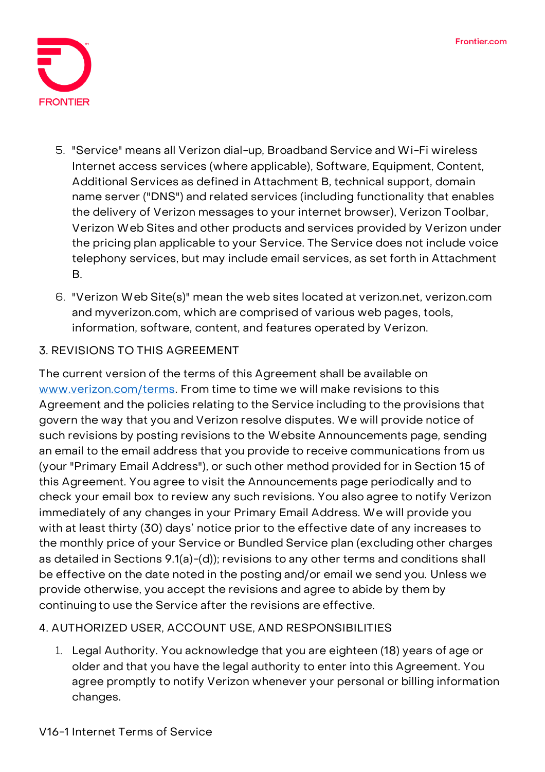

- 5. "Service" means all Verizon dial-up, Broadband Service and Wi-Fi wireless Internet access services (where applicable), Software, Equipment, Content, Additional Services as defined in Attachment B, technical support, domain name server ("DNS") and related services (including functionality that enables the delivery of Verizon messages to your internet browser), Verizon Toolbar, Verizon Web Sites and other products and services provided by Verizon under the pricing plan applicable to your Service. The Service does not include voice telephony services, but may include email services, as set forth in Attachment B.
- 6. "Verizon Web Site(s)" mean the web sites located at verizon.net, verizon.com and myverizon.com, which are comprised of various web pages, tools, information, software, content, and features operated by Verizon.

## **3. REVISIONS TO THIS AGREEMENT**

The current version of the terms of this Agreement shall be available on [www.verizon.com/terms.](http://www.verizon.com/terms) From time to time we will make revisions to this Agreement and the policies relating to the Service including to the provisions that govern the way that you and Verizon resolve disputes. We will provide notice of such revisions by posting revisions to the Website Announcements page, sending an email to the email address that you provide to receive communications from us (your "Primary Email Address"), or such other method provided for in Section 15 of this Agreement. You agree to visit the Announcements page periodically and to check your email box to review any such revisions. You also agree to notify Verizon immediately of any changes in your Primary Email Address. We will provide you with at least thirty (30) days' notice prior to the effective date of any increases to the monthly price of your Service or Bundled Service plan (excluding other charges as detailed in Sections 9.1(a)-(d)); revisions to any other terms and conditions shall be effective on the date noted in the posting and/or email we send you. Unless we provide otherwise, you accept the revisions and agree to abide by them by continuingto use the Service after the revisions are effective.

## **4. AUTHORIZED USER, ACCOUNT USE, AND RESPONSIBILITIES**

1. **Legal Authority.** You acknowledge that you are eighteen (18) years of age or older and that you have the legal authority to enter into this Agreement. You agree promptly to notify Verizon whenever your personal or billing information changes.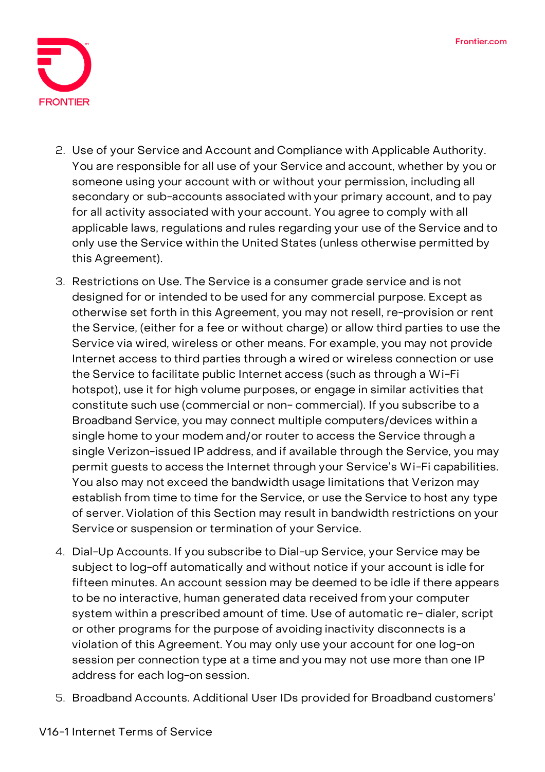

- 2. **Use of your Service and Account and Compliance with Applicable Authority.**  You are responsible for all use of your Service and account, whether by you or someone using your account with or without your permission, including all secondary or sub-accounts associated with your primary account, and to pay for all activity associated with your account. You agree to comply with all applicable laws, regulations and rules regarding your use of the Service and to only use the Service within the United States (unless otherwise permitted by this Agreement).
- 3. **Restrictions on Use.** The Service is a consumer grade service and is not designed for or intended to be used for any commercial purpose. Except as otherwise set forth in this Agreement, you may not resell, re-provision or rent the Service, (either for a fee or without charge) or allow third parties to use the Service via wired, wireless or other means. For example, you may not provide Internet access to third parties through a wired or wireless connection or use the Service to facilitate public Internet access (such as through a Wi-Fi hotspot), use it for high volume purposes, or engage in similar activities that constitute such use (commercial or non- commercial). If you subscribe to a Broadband Service, you may connect multiple computers/devices within a single home to your modem and/or router to access the Service through a single Verizon-issued IP address, and if available through the Service, you may permit guests to access the Internet through your Service's Wi-Fi capabilities. You also may not exceed the bandwidth usage limitations that Verizon may establish from time to time for the Service, or use the Service to host any type of server. Violation of this Section may result in bandwidth restrictions on your Service or suspension or termination of your Service.
- 4. **Dial-Up Accounts.** If you subscribe to Dial-up Service, your Service may be subject to log-off automatically and without notice if your account is idle for fifteen minutes. An account session may be deemed to be idle if there appears to be no interactive, human generated data received from your computer system within a prescribed amount of time. Use of automatic re- dialer, script or other programs for the purpose of avoiding inactivity disconnects is a violation of this Agreement. You may only use your account for one log-on session per connection type at a time and you may not use more than one IP address for each log-on session.
- 5. **Broadband Accounts.** Additional User IDs provided for Broadband customers'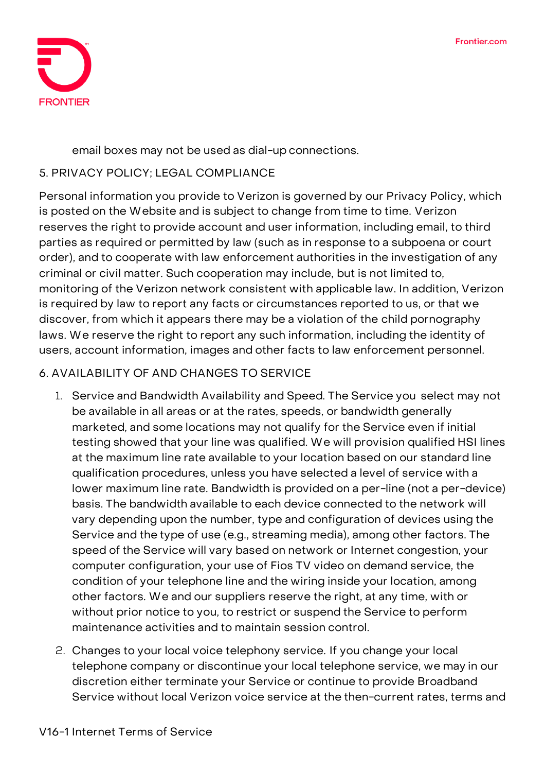

email boxes may not be used as dial-up connections.

## **5. PRIVACY POLICY; LEGAL COMPLIANCE**

Personal information you provide to Verizon is governed by our Privacy Policy, which is posted on the Website and is subject to change from time to time. Verizon reserves the right to provide account and user information, including email, to third parties as required or permitted by law (such as in response to a subpoena or court order), and to cooperate with law enforcement authorities in the investigation of any criminal or civil matter. Such cooperation may include, but is not limited to, monitoring of the Verizon network consistent with applicable law. In addition, Verizon is required by law to report any facts or circumstances reported to us, or that we discover, from which it appears there may be a violation of the child pornography laws. We reserve the right to report any such information, including the identity of users, account information, images and other facts to law enforcement personnel.

# **6. AVAILABILITY OF AND CHANGES TO SERVICE**

- 1. **Service and Bandwidth Availability and Speed. The Service you select may not be available in all areas or at the rates, speeds, or bandwidth generally marketed, and some locations may not qualify for the Service even if initial testing showed that your line was qualified. We will provision qualified HSI lines at the maximum line rate available to your location based on our standard line qualification procedures, unless you have selected a level of service with a lower maximum line rate. Bandwidth is provided on a per-line (not a per-device) basis. The bandwidth available to each device connected to the network will vary depending upon the number, type and configuration of devices using the Service and the type of use (e.g., streaming media), among other factors. The speed of the Service will vary based on network or Internet congestion, your computer configuration, your use of Fios TV video on demand service, the condition of your telephone line and the wiring inside your location, among other factors. We and our suppliers reserve the right, at any time, with or without prior notice to you, to restrict or suspend the Service to perform maintenance activities and to maintain session control.**
- 2. **Changes to your local voice telephony service.** If you change your local telephone company or discontinue your local telephone service, we may in our discretion either terminate your Service or continue to provide Broadband Service without local Verizon voice service at the then-current rates, terms and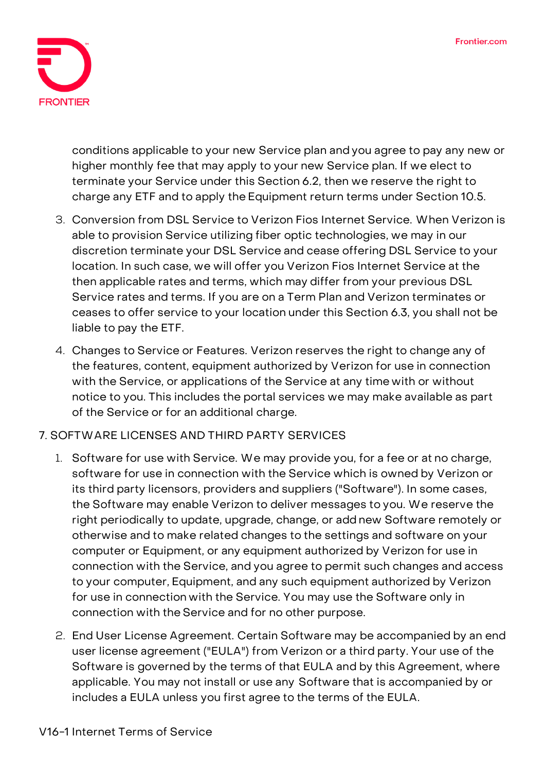

conditions applicable to your new Service plan and you agree to pay any new or higher monthly fee that may apply to your new Service plan. If we elect to terminate your Service under this Section 6.2, then we reserve the right to charge any ETF and to apply the Equipment return terms under Section 10.5.

- 3. **Conversion from DSL Service to Verizon Fios Internet Service.** When Verizon is able to provision Service utilizing fiber optic technologies, we may in our discretion terminate your DSL Service and cease offering DSL Service to your location. In such case, we will offer you Verizon Fios Internet Service at the then applicable rates and terms, which may differ from your previous DSL Service rates and terms. If you are on a Term Plan and Verizon terminates or ceases to offer service to your location under this Section 6.3, you shall not be liable to pay the ETF.
- 4. **Changes to Service or Features.** Verizon reserves the right to change any of the features, content, equipment authorized by Verizon for use in connection with the Service, or applications of the Service at any time with or without notice to you. This includes the portal services we may make available as part of the Service or for an additional charge.

## **7. SOFTWARE LICENSES AND THIRD PARTY SERVICES**

- 1. **Software for use with Service.** We may provide you, for a fee or at no charge, software for use in connection with the Service which is owned by Verizon or its third party licensors, providers and suppliers ("Software"). In some cases, the Software may enable Verizon to deliver messages to you. We reserve the right periodically to update, upgrade, change, or add new Software remotely or otherwise and to make related changes to the settings and software on your computer or Equipment, or any equipment authorized by Verizon for use in connection with the Service, and you agree to permit such changes and access to your computer, Equipment, and any such equipment authorized by Verizon for use in connection with the Service. You may use the Software only in connection with the Service and for no other purpose.
- 2. **End User License Agreement.** Certain Software may be accompanied by an end user license agreement ("EULA") from Verizon or a third party. Your use of the Software is governed by the terms of that EULA and by this Agreement, where applicable. You may not install or use any Software that is accompanied by or includes a EULA unless you first agree to the terms of the EULA.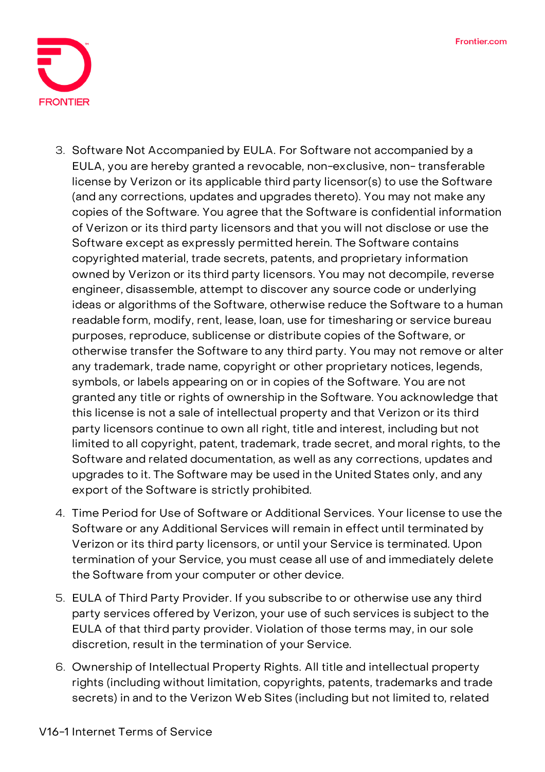

- 3. **Software Not Accompanied by EULA.** For Software not accompanied by a EULA, you are hereby granted a revocable, non-exclusive, non- transferable license by Verizon or its applicable third party licensor(s) to use the Software (and any corrections, updates and upgrades thereto). You may not make any copies of the Software. You agree that the Software is confidential information of Verizon or its third party licensors and that you will not disclose or use the Software except as expressly permitted herein. The Software contains copyrighted material, trade secrets, patents, and proprietary information owned by Verizon or its third party licensors. You may not decompile, reverse engineer, disassemble, attempt to discover any source code or underlying ideas or algorithms of the Software, otherwise reduce the Software to a human readable form, modify, rent, lease, loan, use for timesharing or service bureau purposes, reproduce, sublicense or distribute copies of the Software, or otherwise transfer the Software to any third party. You may not remove or alter any trademark, trade name, copyright or other proprietary notices, legends, symbols, or labels appearing on or in copies of the Software. You are not granted any title or rights of ownership in the Software. You acknowledge that this license is not a sale of intellectual property and that Verizon or its third party licensors continue to own all right, title and interest, including but not limited to all copyright, patent, trademark, trade secret, and moral rights, to the Software and related documentation, as well as any corrections, updates and upgrades to it. The Software may be used in the United States only, and any export of the Software is strictly prohibited.
- 4. **Time Period for Use of Software or Additional Services.** Your license to use the Software or any Additional Services will remain in effect until terminated by Verizon or its third party licensors, or until your Service is terminated. Upon termination of your Service, you must cease all use of and immediately delete the Software from your computer or other device.
- 5. **EULA of Third Party Provider.** If you subscribe to or otherwise use any third party services offered by Verizon, your use of such services is subject to the EULA of that third party provider. Violation of those terms may, in our sole discretion, result in the termination of your Service.
- 6. **Ownership of Intellectual Property Rights.** All title and intellectual property rights (including without limitation, copyrights, patents, trademarks and trade secrets) in and to the Verizon Web Sites (including but not limited to, related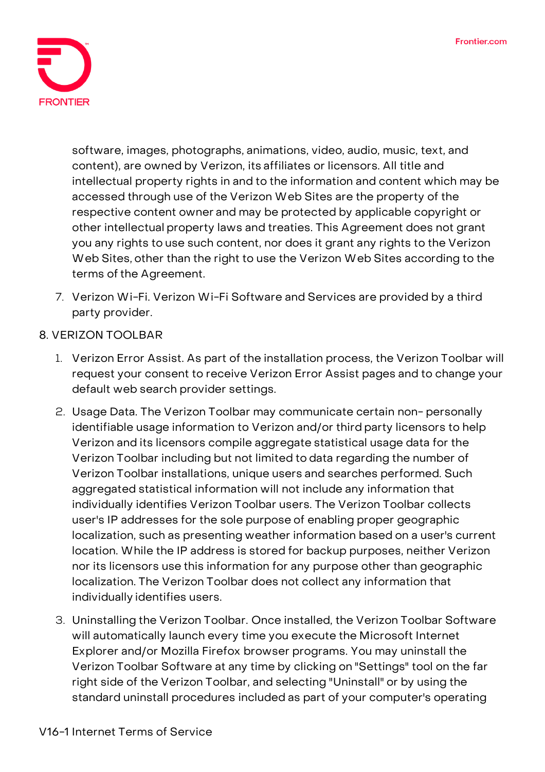

software, images, photographs, animations, video, audio, music, text, and content), are owned by Verizon, its affiliates or licensors. All title and intellectual property rights in and to the information and content which may be accessed through use of the Verizon Web Sites are the property of the respective content owner and may be protected by applicable copyright or other intellectual property laws and treaties. This Agreement does not grant you any rights to use such content, nor does it grant any rights to the Verizon Web Sites, other than the right to use the Verizon Web Sites according to the terms of the Agreement.

- 7. **Verizon Wi-Fi.** Verizon Wi-Fi Software and Services are provided by a third party provider.
- **8. VERIZON TOOLBAR**
	- 1. **Verizon Error Assist.** As part of the installation process, the Verizon Toolbar will request your consent to receive Verizon Error Assist pages and to change your default web search provider settings.
	- 2. **Usage Data.** The Verizon Toolbar may communicate certain non- personally identifiable usage information to Verizon and/or third party licensors to help Verizon and its licensors compile aggregate statistical usage data for the Verizon Toolbar including but not limited to data regarding the number of Verizon Toolbar installations, unique users and searches performed. Such aggregated statistical information will not include any information that individually identifies Verizon Toolbar users. The Verizon Toolbar collects user's IP addresses for the sole purpose of enabling proper geographic localization, such as presenting weather information based on a user's current location. While the IP address is stored for backup purposes, neither Verizon nor its licensors use this information for any purpose other than geographic localization. The Verizon Toolbar does not collect any information that individually identifies users.
	- 3. **Uninstalling the Verizon Toolbar.** Once installed, the Verizon Toolbar Software will automatically launch every time you execute the Microsoft Internet Explorer and/or Mozilla Firefox browser programs. You may uninstall the Verizon Toolbar Software at any time by clicking on "Settings" tool on the far right side of the Verizon Toolbar, and selecting "Uninstall" or by using the standard uninstall procedures included as part of your computer's operating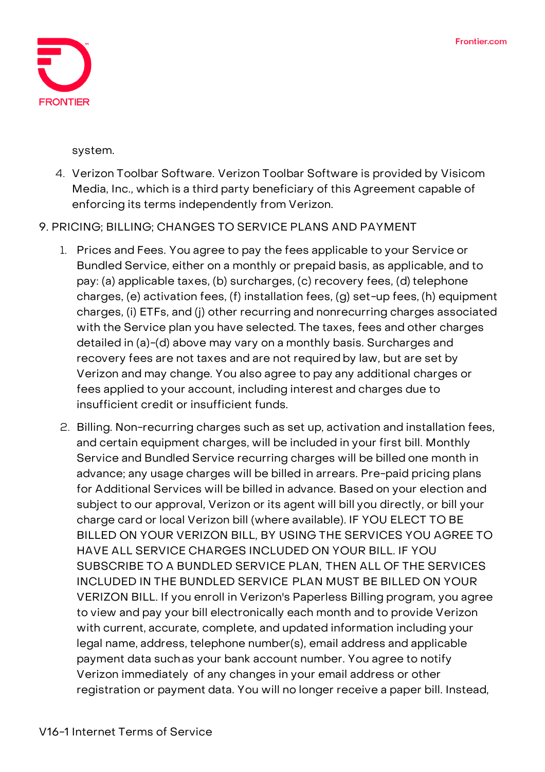

system.

- 4. **Verizon Toolbar Software.** Verizon Toolbar Software is provided by Visicom Media, Inc., which is a third party beneficiary of this Agreement capable of enforcing its terms independently from Verizon.
- **9. PRICING; BILLING; CHANGES TO SERVICE PLANS AND PAYMENT**
	- 1. **Prices and Fees.** You agree to pay the fees applicable to your Service or Bundled Service, either on a monthly or prepaid basis, as applicable, and to pay: (a) applicable taxes, (b) surcharges, (c) recovery fees, (d) telephone charges, (e) activation fees, (f) installation fees, (g) set-up fees, (h) equipment charges, (i) ETFs, and (j) other recurring and nonrecurring charges associated with the Service plan you have selected. The taxes, fees and other charges detailed in (a)-(d) above may vary on a monthly basis. Surcharges and recovery fees are not taxes and are not required by law, but are set by Verizon and may change. You also agree to pay any additional charges or fees applied to your account, including interest and charges due to insufficient credit or insufficient funds.
	- 2. **Billing.** Non-recurring charges such as set up, activation and installation fees, and certain equipment charges, will be included in your first bill. Monthly Service and Bundled Service recurring charges will be billed one month in advance; any usage charges will be billed in arrears. Pre-paid pricing plans for Additional Services will be billed in advance. Based on your election and subject to our approval, Verizon or its agent will bill you directly, or bill your charge card or local Verizon bill (where available). IF YOU ELECT TO BE BILLED ON YOUR VERIZON BILL, BY USING THE SERVICES YOU AGREE TO HAVE ALL SERVICE CHARGES INCLUDED ON YOUR BILL. IF YOU SUBSCRIBE TO A BUNDLED SERVICE PLAN, THEN ALL OF THE SERVICES INCLUDED IN THE BUNDLED SERVICE PLAN MUST BE BILLED ON YOUR VERIZON BILL. If you enroll in Verizon's Paperless Billing program, you agree to view and pay your bill electronically each month and to provide Verizon with current, accurate, complete, and updated information including your legal name, address, telephone number(s), email address and applicable payment data suchas your bank account number. You agree to notify Verizon immediately of any changes in your email address or other registration or payment data. You will no longer receive a paper bill. Instead,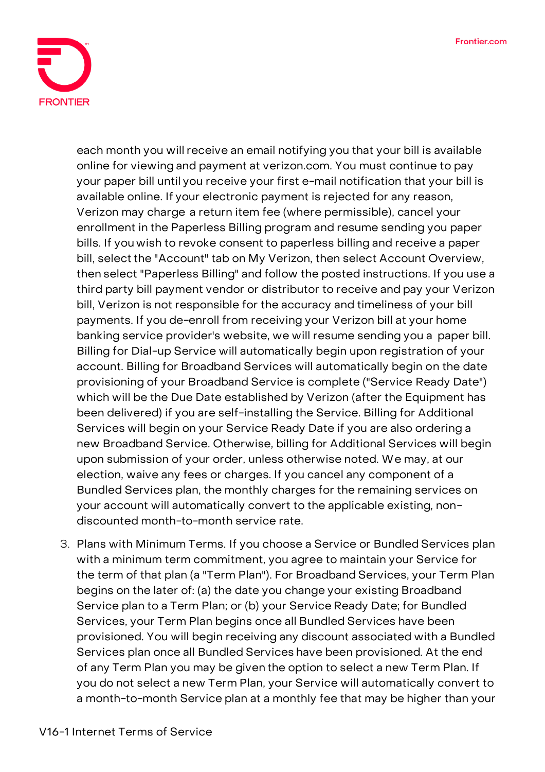

each month you will receive an email notifying you that your bill is available online for viewing and payment at verizon.com. You must continue to pay your paper bill until you receive your first e-mail notification that your bill is available online. If your electronic payment is rejected for any reason, Verizon may charge a return item fee (where permissible), cancel your enrollment in the Paperless Billing program and resume sending you paper bills. If you wish to revoke consent to paperless billing and receive a paper bill, select the "Account" tab on My Verizon, then select Account Overview, then select "Paperless Billing" and follow the posted instructions. If you use a third party bill payment vendor or distributor to receive and pay your Verizon bill, Verizon is not responsible for the accuracy and timeliness of your bill payments. If you de-enroll from receiving your Verizon bill at your home banking service provider's website, we will resume sending you a paper bill. Billing for Dial-up Service will automatically begin upon registration of your account. Billing for Broadband Services will automatically begin on the date provisioning of your Broadband Service is complete ("Service Ready Date") which will be the Due Date established by Verizon (after the Equipment has been delivered) if you are self-installing the Service. Billing for Additional Services will begin on your Service Ready Date if you are also ordering a new Broadband Service. Otherwise, billing for Additional Services will begin upon submission of your order, unless otherwise noted. We may, at our election, waive any fees or charges. If you cancel any component of a Bundled Services plan, the monthly charges for the remaining services on your account will automatically convert to the applicable existing, nondiscounted month-to-month service rate.

3. **Plans with Minimum Terms.** If you choose a Service or Bundled Services plan with a minimum term commitment, you agree to maintain your Service for the term of that plan (a "Term Plan"). For Broadband Services, your Term Plan begins on the later of: (a) the date you change your existing Broadband Service plan to a Term Plan; or (b) your Service Ready Date; for Bundled Services, your Term Plan begins once all Bundled Services have been provisioned. You will begin receiving any discount associated with a Bundled Services plan once all Bundled Services have been provisioned. At the end of any Term Plan you may be given the option to select a new Term Plan. If you do not select a new Term Plan, your Service will automatically convert to a month-to-month Service plan at a monthly fee that may be higher than your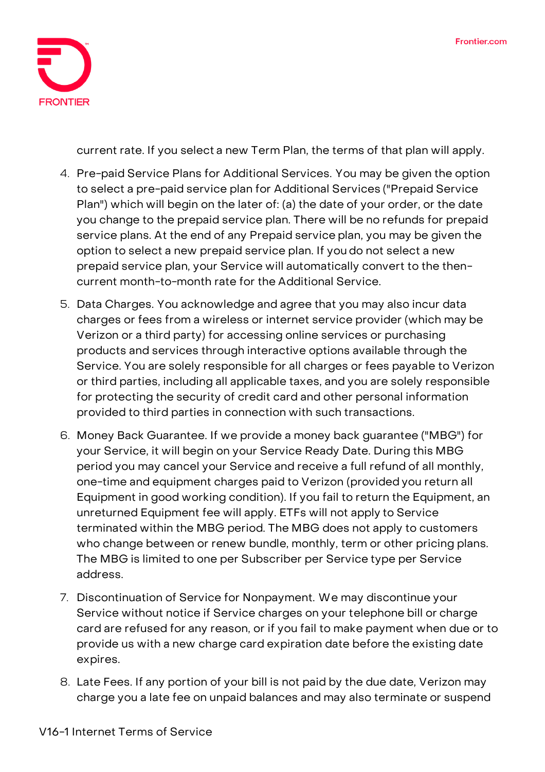

current rate. If you select a new Term Plan, the terms of that plan will apply.

- 4. **Pre-paid Service Plans for Additional Services.** You may be given the option to select a pre-paid service plan for Additional Services ("Prepaid Service Plan") which will begin on the later of: (a) the date of your order, or the date you change to the prepaid service plan. There will be no refunds for prepaid service plans. At the end of any Prepaid service plan, you may be given the option to select a new prepaid service plan. If you do not select a new prepaid service plan, your Service will automatically convert to the thencurrent month-to-month rate for the Additional Service.
- 5. **Data Charges.** You acknowledge and agree that you may also incur data charges or fees from a wireless or internet service provider (which may be Verizon or a third party) for accessing online services or purchasing products and services through interactive options available through the Service. You are solely responsible for all charges or fees payable to Verizon or third parties, including all applicable taxes, and you are solely responsible for protecting the security of credit card and other personal information provided to third parties in connection with such transactions.
- 6. **Money Back Guarantee.** If we provide a money back guarantee ("MBG") for your Service, it will begin on your Service Ready Date. During this MBG period you may cancel your Service and receive a full refund of all monthly, one-time and equipment charges paid to Verizon (provided you return all Equipment in good working condition). If you fail to return the Equipment, an unreturned Equipment fee will apply. ETFs will not apply to Service terminated within the MBG period. The MBG does not apply to customers who change between or renew bundle, monthly, term or other pricing plans. The MBG is limited to one per Subscriber per Service type per Service address.
- 7. **Discontinuation of Service for Nonpayment.** We may discontinue your Service without notice if Service charges on your telephone bill or charge card are refused for any reason, or if you fail to make payment when due or to provide us with a new charge card expiration date before the existing date expires.
- 8. **Late Fees.** If any portion of your bill is not paid by the due date, Verizon may charge you a late fee on unpaid balances and may also terminate or suspend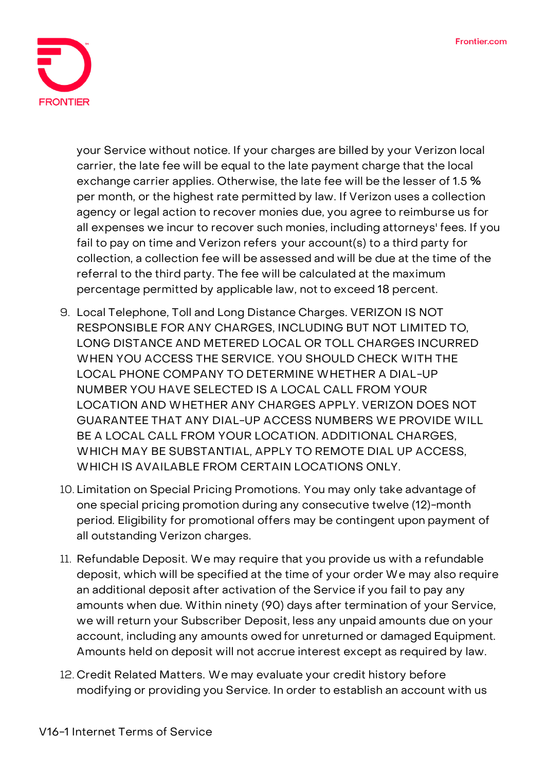

your Service without notice. If your charges are billed by your Verizon local carrier, the late fee will be equal to the late payment charge that the local exchange carrier applies. Otherwise, the late fee will be the lesser of 1.5 % per month, or the highest rate permitted by law. If Verizon uses a collection agency or legal action to recover monies due, you agree to reimburse us for all expenses we incur to recover such monies, including attorneys' fees. If you fail to pay on time and Verizon refers your account(s) to a third party for collection, a collection fee will be assessed and will be due at the time of the referral to the third party. The fee will be calculated at the maximum percentage permitted by applicable law, not to exceed 18 percent.

- 9. **Local Telephone,** Toll and Long Distance Charges. VERIZON IS NOT RESPONSIBLE FOR ANY CHARGES, INCLUDING BUT NOT LIMITED TO, LONG DISTANCE AND METERED LOCAL OR TOLL CHARGES INCURRED WHEN YOU ACCESS THE SERVICE. YOU SHOULD CHECK WITH THE LOCAL PHONE COMPANY TO DETERMINE WHETHER A DIAL-UP NUMBER YOU HAVE SELECTED IS A LOCAL CALL FROM YOUR LOCATION AND WHETHER ANY CHARGES APPLY. VERIZON DOES NOT GUARANTEE THAT ANY DIAL-UP ACCESS NUMBERS WE PROVIDE WILL BE A LOCAL CALL FROM YOUR LOCATION. ADDITIONAL CHARGES, WHICH MAY BE SUBSTANTIAL, APPLY TO REMOTE DIAL UP ACCESS, WHICH IS AVAILABLE FROM CERTAIN LOCATIONS ONLY.
- 10. **Limitation on Special Pricing Promotions.** You may only take advantage of one special pricing promotion during any consecutive twelve (12)-month period. Eligibility for promotional offers may be contingent upon payment of all outstanding Verizon charges.
- 11. **Refundable Deposit.** We may require that you provide us with a refundable deposit, which will be specified at the time of your order We may also require an additional deposit after activation of the Service if you fail to pay any amounts when due. Within ninety (90) days after termination of your Service, we will return your Subscriber Deposit, less any unpaid amounts due on your account, including any amounts owed for unreturned or damaged Equipment. Amounts held on deposit will not accrue interest except as required by law.
- 12. **Credit Related Matters.** We may evaluate your credit history before modifying or providing you Service. In order to establish an account with us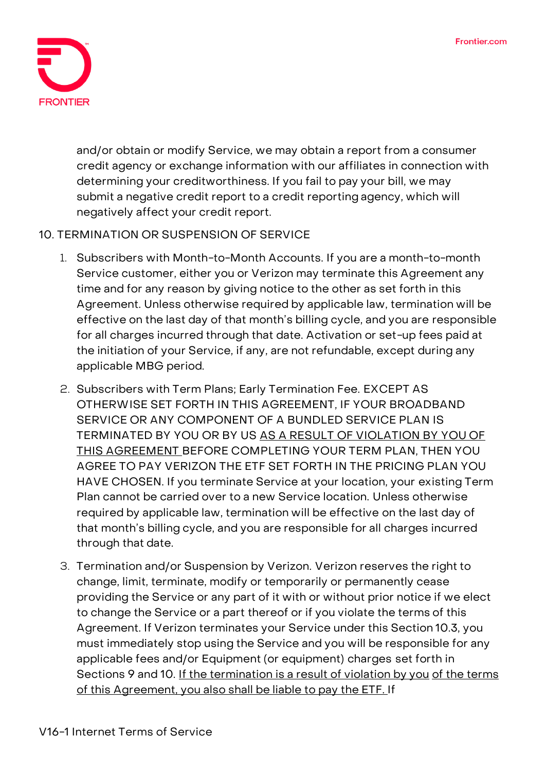

and/or obtain or modify Service, we may obtain a report from a consumer credit agency or exchange information with our affiliates in connection with determining your creditworthiness. If you fail to pay your bill, we may submit a negative credit report to a credit reporting agency, which will negatively affect your credit report.

## **10. TERMINATION OR SUSPENSION OF SERVICE**

- 1. **Subscribers with Month-to-Month Accounts.** If you are a month-to-month Service customer, either you or Verizon may terminate this Agreement any time and for any reason by giving notice to the other as set forth in this Agreement. Unless otherwise required by applicable law, termination will be effective on the last day of that month's billing cycle, and you are responsible for all charges incurred through that date. Activation or set-up fees paid at the initiation of your Service, if any, are not refundable, except during any applicable MBG period.
- 2. **Subscribers with Term Plans; Early Termination Fee.** EXCEPT AS OTHERWISE SET FORTH IN THIS AGREEMENT, IF YOUR BROADBAND SERVICE OR ANY COMPONENT OF A BUNDLED SERVICE PLAN IS TERMINATED BY YOU OR BY US AS A RESULT OF VIOLATION BY YOU OF THIS AGREEMENT BEFORE COMPLETING YOUR TERM PLAN, THEN YOU AGREE TO PAY VERIZON THE ETF SET FORTH IN THE PRICING PLAN YOU HAVE CHOSEN. If you terminate Service at your location, your existing Term Plan cannot be carried over to a new Service location. Unless otherwise required by applicable law, termination will be effective on the last day of that month's billing cycle, and you are responsible for all charges incurred through that date.
- 3. **Termination and/or Suspension by Verizon.** Verizon reserves the right to change, limit, terminate, modify or temporarily or permanently cease providing the Service or any part of it with or without prior notice if we elect to change the Service or a part thereof or if you violate the terms of this Agreement. If Verizon terminates your Service under this Section 10.3, you must immediately stop using the Service and you will be responsible for any applicable fees and/or Equipment (or equipment) charges set forth in Sections 9 and 10. If the termination is a result of violation by you of the terms of this Agreement, you also shall be liable to pay the ETF. If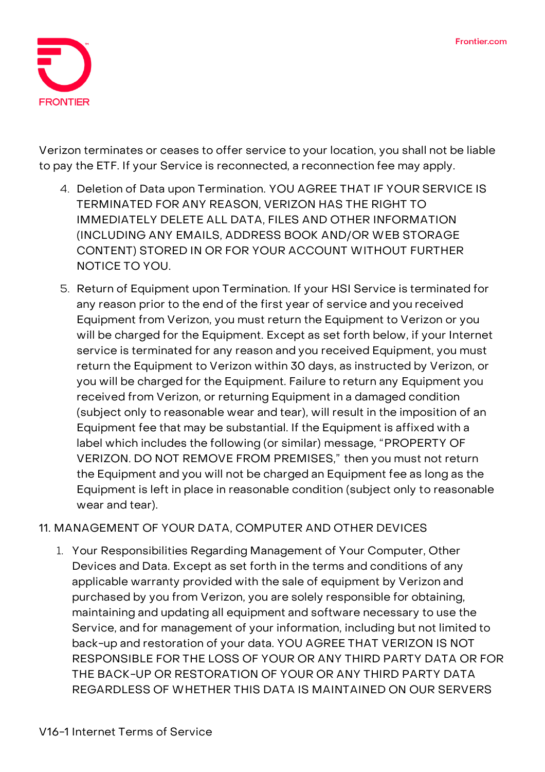

Verizon terminates or ceases to offer service to your location, you shall not be liable to pay the ETF. If your Service is reconnected, a reconnection fee may apply.

- 4. **Deletion of Data upon Termination.** YOU AGREE THAT IF YOUR SERVICE IS TERMINATED FOR ANY REASON, VERIZON HAS THE RIGHT TO IMMEDIATELY DELETE ALL DATA, FILES AND OTHER INFORMATION (INCLUDING ANY EMAILS, ADDRESS BOOK AND/OR WEB STORAGE CONTENT) STORED IN OR FOR YOUR ACCOUNT WITHOUT FURTHER NOTICE TO YOU.
- 5. **Return of Equipment upon Termination.** If your HSI Service is terminated for any reason prior to the end of the first year of service and you received Equipment from Verizon, you must return the Equipment to Verizon or you will be charged for the Equipment. Except as set forth below, if your Internet service is terminated for any reason and you received Equipment, you must return the Equipment to Verizon within 30 days, as instructed by Verizon, or you will be charged for the Equipment. Failure to return any Equipment you received from Verizon, or returning Equipment in a damaged condition (subject only to reasonable wear and tear), will result in the imposition of an Equipment fee that may be substantial. If the Equipment is affixed with a label which includes the following (or similar) message, "PROPERTY OF VERIZON. DO NOT REMOVE FROM PREMISES," then you must not return the Equipment and you will not be charged an Equipment fee as long as the Equipment is left in place in reasonable condition (subject only to reasonable wear and tear).

# **11. MANAGEMENT OF YOUR DATA, COMPUTER AND OTHER DEVICES**

1. **Your Responsibilities Regarding Management of Your Computer, Other Devices and Data.** Except as set forth in the terms and conditions of any applicable warranty provided with the sale of equipment by Verizon and purchased by you from Verizon, you are solely responsible for obtaining, maintaining and updating all equipment and software necessary to use the Service, and for management of your information, including but not limited to back-up and restoration of your data. YOU AGREE THAT VERIZON IS NOT RESPONSIBLE FOR THE LOSS OF YOUR OR ANY THIRD PARTY DATA OR FOR THE BACK-UP OR RESTORATION OF YOUR OR ANY THIRD PARTY DATA REGARDLESS OF WHETHER THIS DATA IS MAINTAINED ON OUR SERVERS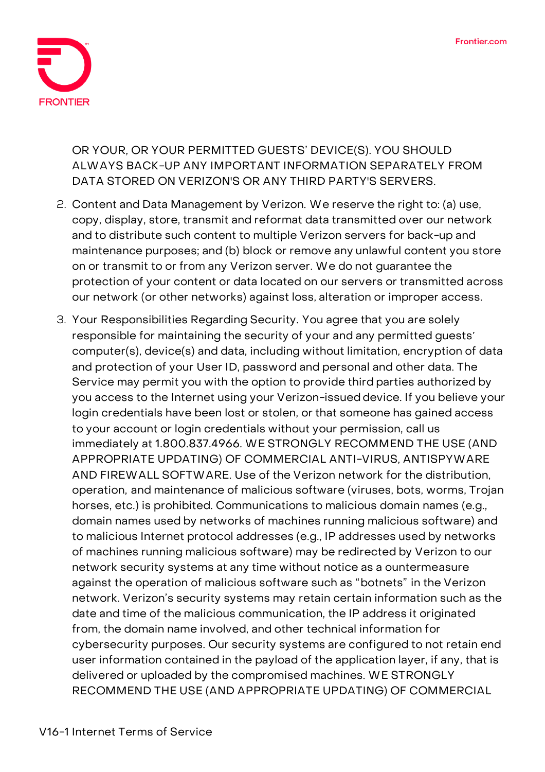

OR YOUR, OR YOUR PERMITTED GUESTS' DEVICE(S). YOU SHOULD ALWAYS BACK-UP ANY IMPORTANT INFORMATION SEPARATELY FROM DATA STORED ON VERIZON'S OR ANY THIRD PARTY'S SERVERS.

- 2. **Content and Data Management by Verizon.** We reserve the right to: (a) use, copy, display, store, transmit and reformat data transmitted over our network and to distribute such content to multiple Verizon servers for back-up and maintenance purposes; and (b) block or remove any unlawful content you store on or transmit to or from any Verizon server. We do not guarantee the protection of your content or data located on our servers or transmitted across our network (or other networks) against loss, alteration or improper access.
- 3. **Your Responsibilities Regarding Security.** You agree that you are solely responsible for maintaining the security of your and any permitted guests computer(s), device(s) and data, including without limitation, encryption of data and protection of your User ID, password and personal and other data. The Service may permit you with the option to provide third parties authorized by you access to the Internet using your Verizon-issued device. If you believe your login credentials have been lost or stolen, or that someone has gained access to your account or login credentials without your permission, call us immediately at 1.800.837.4966. WE STRONGLY RECOMMEND THE USE (AND APPROPRIATE UPDATING) OF COMMERCIAL ANTI-VIRUS, ANTISPYWARE AND FIREWALL SOFTWARE. Use of the Verizon network for the distribution, operation, and maintenance of malicious software (viruses, bots, worms, Trojan horses, etc.) is prohibited. Communications to malicious domain names (e.g., domain names used by networks of machines running malicious software) and to malicious Internet protocol addresses (e.g., IP addresses used by networks of machines running malicious software) may be redirected by Verizon to our network security systems at any time without notice as a ountermeasure against the operation of malicious software such as "botnets" in the Verizon network. Verizon's security systems may retain certain information such as the date and time of the malicious communication, the IP address it originated from, the domain name involved, and other technical information for cybersecurity purposes. Our security systems are configured to not retain end user information contained in the payload of the application layer, if any, that is delivered or uploaded by the compromised machines. WE STRONGLY RECOMMEND THE USE (AND APPROPRIATE UPDATING) OF COMMERCIAL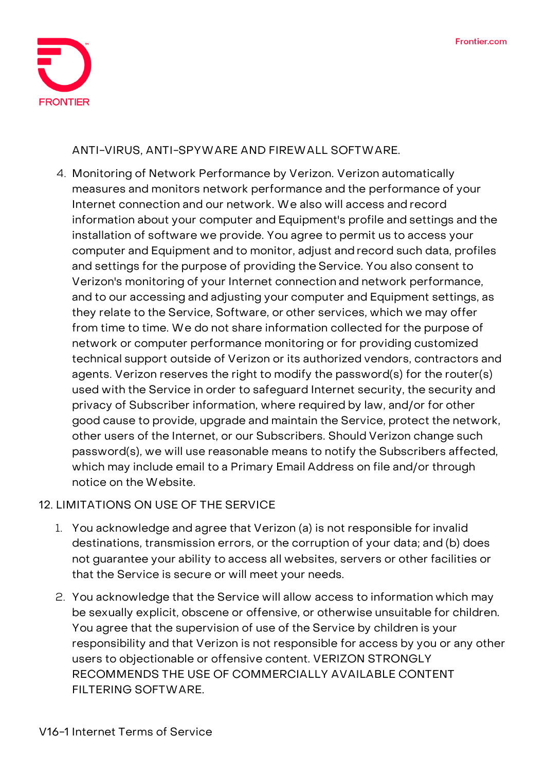

ANTI-VIRUS, ANTI-SPYWARE AND FIREWALL SOFTWARE.

4. **Monitoring of Network Performance by Verizon.** Verizon automatically measures and monitors network performance and the performance of your Internet connection and our network. We also will access and record information about your computer and Equipment's profile and settings and the installation of software we provide. You agree to permit us to access your computer and Equipment and to monitor, adjust and record such data, profiles and settings for the purpose of providing the Service. You also consent to Verizon's monitoring of your Internet connection and network performance, and to our accessing and adjusting your computer and Equipment settings, as they relate to the Service, Software, or other services, which we may offer from time to time. We do not share information collected for the purpose of network or computer performance monitoring or for providing customized technical support outside of Verizon or its authorized vendors, contractors and agents. Verizon reserves the right to modify the password(s) for the router(s) used with the Service in order to safeguard Internet security, the security and privacy of Subscriber information, where required by law, and/or for other good cause to provide, upgrade and maintain the Service, protect the network, other users of the Internet, or our Subscribers. Should Verizon change such password(s), we will use reasonable means to notify the Subscribers affected, which may include email to a Primary Email Address on file and/or through notice on the Website.

## **12. LIMITATIONS ON USE OF THE SERVICE**

- 1. You acknowledge and agree that Verizon (a) is not responsible for invalid destinations, transmission errors, or the corruption of your data; and (b) does not guarantee your ability to access all websites, servers or other facilities or that the Service is secure or will meet your needs.
- 2. You acknowledge that the Service will allow access to information which may be sexually explicit, obscene or offensive, or otherwise unsuitable for children. You agree that the supervision of use of the Service by children is your responsibility and that Verizon is not responsible for access by you or any other users to objectionable or offensive content. VERIZON STRONGLY RECOMMENDS THE USE OF COMMERCIALLY AVAILABLE CONTENT FILTERING SOFTWARE.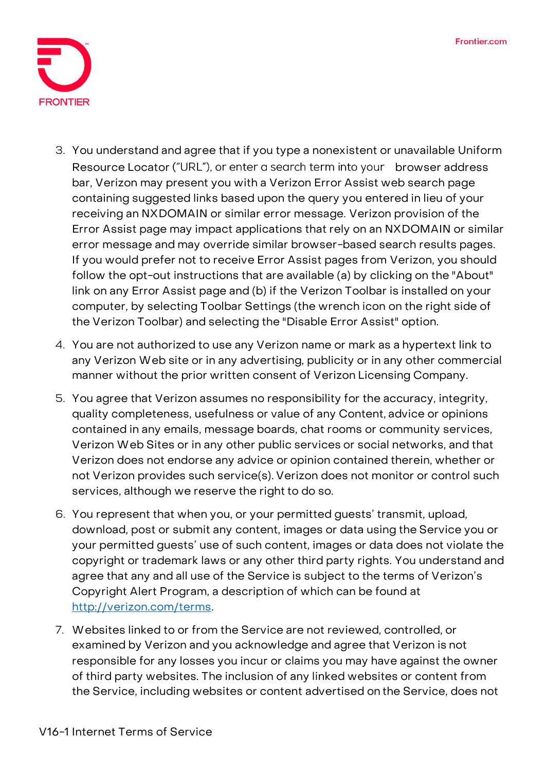

- 3. You understand and agree that if you type a nonexistent or unavailable Uniform Resource Locator ("URL"), or enter a search term into your browser address bar, Verizon may present you with a Verizon Error Assist web search page containing suggested links based upon the query you entered in lieu of your receiving an NXDOMAIN or similar error message. Verizon provision of the Error Assist page may impact applications that rely on an NXDOMAIN or similar error message and may override similar browser-based search results pages. If you would prefer not to receive Error Assist pages from Verizon, you should follow the opt-out instructions that are available (a) by clicking on the "About" link on any Error Assist page and (b) if the Verizon Toolbar is installed on your computer, by selecting Toolbar Settings (the wrench icon on the right side of the Verizon Toolbar) and selecting the "Disable Error Assist" option.
- 4. You are not authorized to use any Verizon name or mark as a hypertext link to any Verizon Web site or in any advertising, publicity or in any other commercial manner without the prior written consent of Verizon Licensing Company.
- 5. You agree that Verizon assumes no responsibility for the accuracy, integrity, quality completeness, usefulness or value of any Content, advice or opinions contained in any emails, message boards, chat rooms or community services, Verizon Web Sites or in any other public services or social networks, and that Verizon does not endorse any advice or opinion contained therein, whether or not Verizon provides such service(s). Verizon does not monitor or control such services, although we reserve the right to do so.
- 6. You represent that when you, or your permitted guests' transmit, upload, download, post or submit any content, images or data using the Service you or your permitted guests' use of such content, images or data does not violate the copyright or trademark laws or any other third party rights. You understand and agree that any and all use of the Service is subject to the terms of Verizon's Copyright Alert Program, a description of which can be found at [http://verizon.com/terms.](http://verizon.com/terms)
- 7. Websites linked to or from the Service are not reviewed, controlled, or examined by Verizon and you acknowledge and agree that Verizon is not responsible for any losses you incur or claims you may have against the owner of third party websites. The inclusion of any linked websites or content from the Service, including websites or content advertised on the Service, does not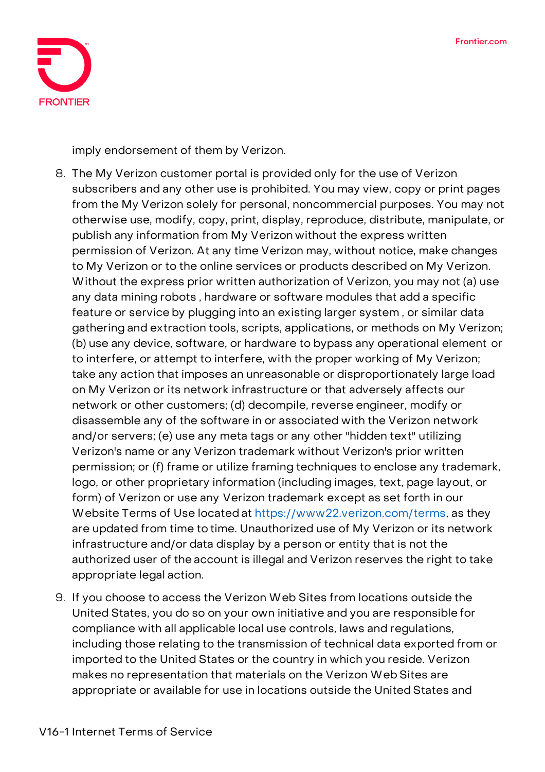

imply endorsement of them by Verizon.

- 8. The My Verizon customer portal is provided only for the use of Verizon subscribers and any other use is prohibited. You may view, copy or print pages from the My Verizon solely for personal, noncommercial purposes. You may not otherwise use, modify, copy, print, display, reproduce, distribute, manipulate, or publish any information from My Verizon without the express written permission of Verizon. At any time Verizon may, without notice, make changes to My Verizon or to the online services or products described on My Verizon. Without the express prior written authorization of Verizon, you may not (a) use any data mining robots , hardware or software modules that add a specific feature or service by plugging into an existing larger system , or similar data gathering and extraction tools, scripts, applications, or methods on My Verizon; (b) use any device, software, or hardware to bypass any operational element or to interfere, or attempt to interfere, with the proper working of My Verizon; take any action that imposes an unreasonable or disproportionately large load on My Verizon or its network infrastructure or that adversely affects our network or other customers; (d) decompile, reverse engineer, modify or disassemble any of the software in or associated with the Verizon network and/or servers; (e) use any meta tags or any other "hidden text" utilizing Verizon's name or any Verizon trademark without Verizon's prior written permission; or (f) frame or utilize framing techniques to enclose any trademark, logo, or other proprietary information (including images, text, page layout, or form) of Verizon or use any Verizon trademark except as set forth in our Website Terms of Use located at [https://www22.verizon.com/terms,](https://www22.verizon.com/terms) as they are updated from time to time. Unauthorized use of My Verizon or its network infrastructure and/or data display by a person or entity that is not the authorized user of the account is illegal and Verizon reserves the right to take appropriate legal action.
- 9. If you choose to access the Verizon Web Sites from locations outside the United States, you do so on your own initiative and you are responsible for compliance with all applicable local use controls, laws and regulations, including those relating to the transmission of technical data exported from or imported to the United States or the country in which you reside. Verizon makes no representation that materials on the Verizon Web Sites are appropriate or available for use in locations outside the United States and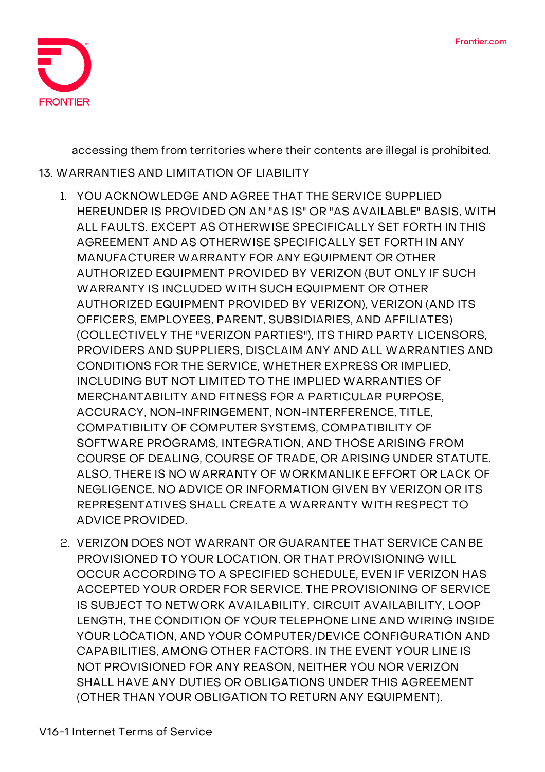

accessing them from territories where their contents are illegal is prohibited.

### **13. WARRANTIES AND LIMITATION OF LIABILITY**

- 1. YOU ACKNOWLEDGE AND AGREE THAT THE SERVICE SUPPLIED HEREUNDER IS PROVIDED ON AN "AS IS" OR "AS AVAILABLE" BASIS, WITH ALL FAULTS. EXCEPT AS OTHERWISE SPECIFICALLY SET FORTH IN THIS AGREEMENT AND AS OTHERWISE SPECIFICALLY SET FORTH IN ANY MANUFACTURER WARRANTY FOR ANY EQUIPMENT OR OTHER AUTHORIZED EQUIPMENT PROVIDED BY VERIZON (BUT ONLY IF SUCH WARRANTY IS INCLUDED WITH SUCH EQUIPMENT OR OTHER AUTHORIZED EQUIPMENT PROVIDED BY VERIZON), VERIZON (AND ITS OFFICERS, EMPLOYEES, PARENT, SUBSIDIARIES, AND AFFILIATES) (COLLECTIVELY THE "VERIZON PARTIES"), ITS THIRD PARTY LICENSORS, PROVIDERS AND SUPPLIERS, DISCLAIM ANY AND ALL WARRANTIES AND CONDITIONS FOR THE SERVICE, WHETHER EXPRESS OR IMPLIED, INCLUDING BUT NOT LIMITED TO THE IMPLIED WARRANTIES OF MERCHANTABILITY AND FITNESS FOR A PARTICULAR PURPOSE, ACCURACY, NON-INFRINGEMENT, NON-INTERFERENCE, TITLE, COMPATIBILITY OF COMPUTER SYSTEMS, COMPATIBILITY OF SOFTWARE PROGRAMS, INTEGRATION, AND THOSE ARISING FROM COURSE OF DEALING, COURSE OF TRADE, OR ARISING UNDER STATUTE. ALSO, THERE IS NO WARRANTY OF WORKMANLIKE EFFORT OR LACK OF NEGLIGENCE. NO ADVICE OR INFORMATION GIVEN BY VERIZON OR ITS REPRESENTATIVES SHALL CREATE A WARRANTY WITH RESPECT TO ADVICE PROVIDED.
- 2. VERIZON DOES NOT WARRANT OR GUARANTEE THAT SERVICE CAN BE PROVISIONED TO YOUR LOCATION, OR THAT PROVISIONING WILL OCCUR ACCORDING TO A SPECIFIED SCHEDULE, EVEN IF VERIZON HAS ACCEPTED YOUR ORDER FOR SERVICE. THE PROVISIONING OF SERVICE IS SUBJECT TO NETWORK AVAILABILITY, CIRCUIT AVAILABILITY, LOOP LENGTH, THE CONDITION OF YOUR TELEPHONE LINE AND WIRING INSIDE YOUR LOCATION, AND YOUR COMPUTER/DEVICE CONFIGURATION AND CAPABILITIES, AMONG OTHER FACTORS. IN THE EVENT YOUR LINE IS NOT PROVISIONED FOR ANY REASON, NEITHER YOU NOR VERIZON SHALL HAVE ANY DUTIES OR OBLIGATIONS UNDER THIS AGREEMENT (OTHER THAN YOUR OBLIGATION TO RETURN ANY EQUIPMENT).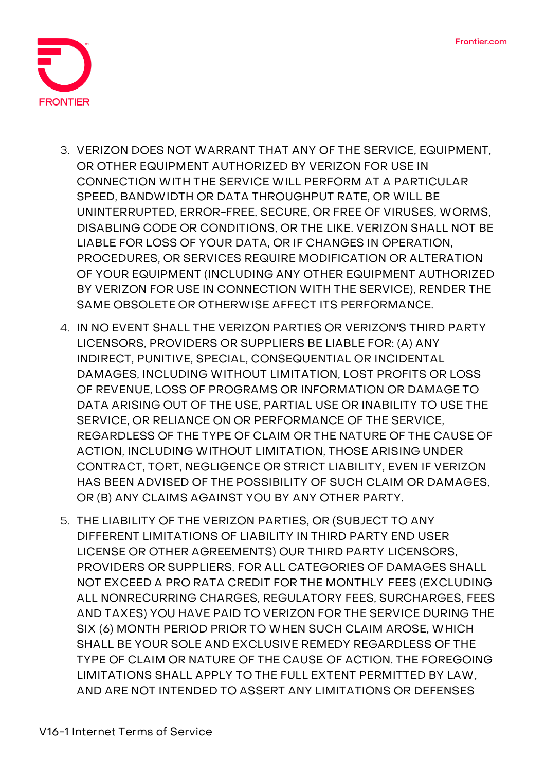

- 3. VERIZON DOES NOT WARRANT THAT ANY OF THE SERVICE, EQUIPMENT, OR OTHER EQUIPMENT AUTHORIZED BY VERIZON FOR USE IN CONNECTION WITH THE SERVICE WILL PERFORM AT A PARTICULAR SPEED, BANDWIDTH OR DATA THROUGHPUT RATE, OR WILL BE UNINTERRUPTED, ERROR-FREE, SECURE, OR FREE OF VIRUSES, WORMS, DISABLING CODE OR CONDITIONS, OR THE LIKE. VERIZON SHALL NOT BE LIABLE FOR LOSS OF YOUR DATA, OR IF CHANGES IN OPERATION, PROCEDURES, OR SERVICES REQUIRE MODIFICATION OR ALTERATION OF YOUR EQUIPMENT (INCLUDING ANY OTHER EQUIPMENT AUTHORIZED BY VERIZON FOR USE IN CONNECTION WITH THE SERVICE), RENDER THE SAME OBSOLETE OR OTHERWISE AFFECT ITS PERFORMANCE.
- 4. IN NO EVENT SHALL THE VERIZON PARTIES OR VERIZON'S THIRD PARTY LICENSORS, PROVIDERS OR SUPPLIERS BE LIABLE FOR: (A) ANY INDIRECT, PUNITIVE, SPECIAL, CONSEQUENTIAL OR INCIDENTAL DAMAGES, INCLUDING WITHOUT LIMITATION, LOST PROFITS OR LOSS OF REVENUE, LOSS OF PROGRAMS OR INFORMATION OR DAMAGE TO DATA ARISING OUT OF THE USE, PARTIAL USE OR INABILITY TO USE THE SERVICE, OR RELIANCE ON OR PERFORMANCE OF THE SERVICE, REGARDLESS OF THE TYPE OF CLAIM OR THE NATURE OF THE CAUSE OF ACTION, INCLUDING WITHOUT LIMITATION, THOSE ARISING UNDER CONTRACT, TORT, NEGLIGENCE OR STRICT LIABILITY, EVEN IF VERIZON HAS BEEN ADVISED OF THE POSSIBILITY OF SUCH CLAIM OR DAMAGES, OR (B) ANY CLAIMS AGAINST YOU BY ANY OTHER PARTY.
- 5. THE LIABILITY OF THE VERIZON PARTIES, OR (SUBJECT TO ANY DIFFERENT LIMITATIONS OF LIABILITY IN THIRD PARTY END USER LICENSE OR OTHER AGREEMENTS) OUR THIRD PARTY LICENSORS, PROVIDERS OR SUPPLIERS, FOR ALL CATEGORIES OF DAMAGES SHALL NOT EXCEED A PRO RATA CREDIT FOR THE MONTHLY FEES (EXCLUDING ALL NONRECURRING CHARGES, REGULATORY FEES, SURCHARGES, FEES AND TAXES) YOU HAVE PAID TO VERIZON FOR THE SERVICE DURING THE SIX (6) MONTH PERIOD PRIOR TO WHEN SUCH CLAIM AROSE, WHICH SHALL BE YOUR SOLE AND EXCLUSIVE REMEDY REGARDLESS OF THE TYPE OF CLAIM OR NATURE OF THE CAUSE OF ACTION. THE FOREGOING LIMITATIONS SHALL APPLY TO THE FULL EXTENT PERMITTED BY LAW, AND ARE NOT INTENDED TO ASSERT ANY LIMITATIONS OR DEFENSES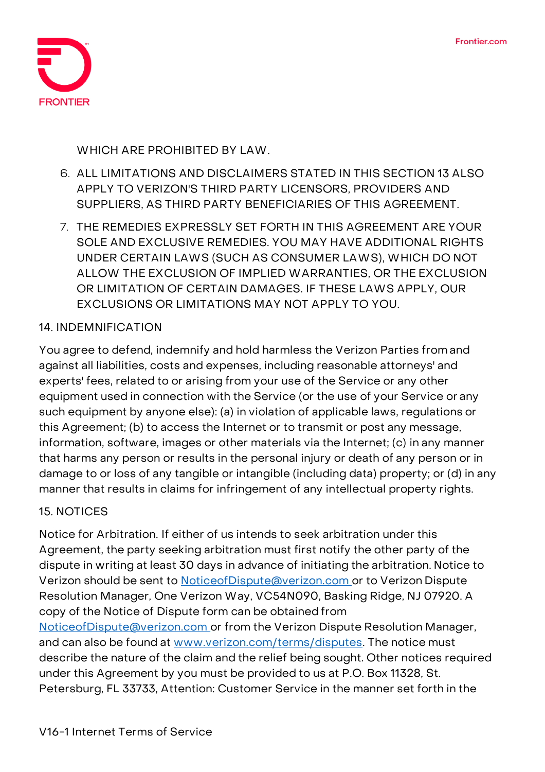

WHICH ARE PROHIBITED BY LAW.

- 6. ALL LIMITATIONS AND DISCLAIMERS STATED IN THIS SECTION 13 ALSO APPLY TO VERIZON'S THIRD PARTY LICENSORS, PROVIDERS AND SUPPLIERS, AS THIRD PARTY BENEFICIARIES OF THIS AGREEMENT.
- 7. THE REMEDIES EXPRESSLY SET FORTH IN THIS AGREEMENT ARE YOUR SOLE AND EXCLUSIVE REMEDIES. YOU MAY HAVE ADDITIONAL RIGHTS UNDER CERTAIN LAWS (SUCH AS CONSUMER LAWS), WHICH DO NOT ALLOW THE EXCLUSION OF IMPLIED WARRANTIES, OR THE EXCLUSION OR LIMITATION OF CERTAIN DAMAGES. IF THESE LAWS APPLY, OUR EXCLUSIONS OR LIMITATIONS MAY NOT APPLY TO YOU.

## **14. INDEMNIFICATION**

You agree to defend, indemnify and hold harmless the Verizon Parties from and against all liabilities, costs and expenses, including reasonable attorneys' and experts' fees, related to or arising from your use of the Service or any other equipment used in connection with the Service (or the use of your Service or any such equipment by anyone else): (a) in violation of applicable laws, regulations or this Agreement; (b) to access the Internet or to transmit or post any message, information, software, images or other materials via the Internet; (c) in any manner that harms any person or results in the personal injury or death of any person or in damage to or loss of any tangible or intangible (including data) property; or (d) in any manner that results in claims for infringement of any intellectual property rights.

## **15. NOTICES**

**Notice for Arbitration.** If either of us intends to seek arbitration under this Agreement, the party seeking arbitration must first notify the other party of the dispute in writing at least 30 days in advance of initiating the arbitration. Notice to Verizon should be sent to [NoticeofDispute@verizon.com o](mailto:NoticeofDispute@verizon.com)r to Verizon Dispute Resolution Manager, One Verizon Way, VC54N090, Basking Ridge, NJ 07920. A copy of the Notice of Dispute form can be obtained from [NoticeofDispute@verizon.com o](mailto:NoticeofDispute@verizon.com)r from the Verizon Dispute Resolution Manager, and can also be found at [www.verizon.com/terms/disputes.](http://www.verizon.com/terms/disputes) The notice must describe the nature of the claim and the relief being sought. Other notices required under this Agreement by you must be provided to us at P.O. Box 11328, St. Petersburg, FL 33733, Attention: Customer Service in the manner set forth in the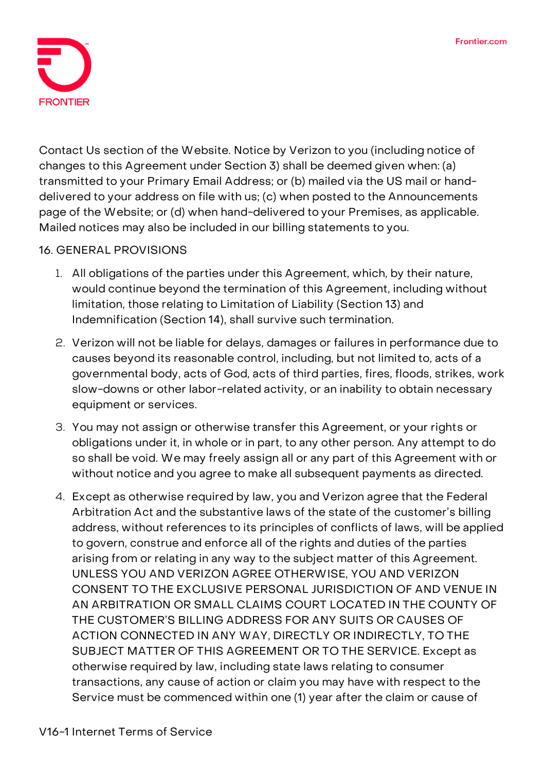

Contact Us section of the Website. Notice by Verizon to you (including notice of changes to this Agreement under Section 3) shall be deemed given when: (a) transmitted to your Primary Email Address; or (b) mailed via the US mail or handdelivered to your address on file with us; (c) when posted to the Announcements page of the Website; or (d) when hand-delivered to your Premises, as applicable. Mailed notices may also be included in our billing statements to you.

## **16. GENERAL PROVISIONS**

- 1. All obligations of the parties under this Agreement, which, by their nature, would continue beyond the termination of this Agreement, including without limitation, those relating to Limitation of Liability (Section 13) and Indemnification (Section 14), shall survive such termination.
- 2. Verizon will not be liable for delays, damages or failures in performance due to causes beyond its reasonable control, including, but not limited to, acts of a governmental body, acts of God, acts of third parties, fires, floods, strikes, work slow-downs or other labor-related activity, or an inability to obtain necessary equipment or services.
- 3. You may not assign or otherwise transfer this Agreement, or your rights or obligations under it, in whole or in part, to any other person. Any attempt to do so shall be void. We may freely assign all or any part of this Agreement with or without notice and you agree to make all subsequent payments as directed.
- 4. **Except as otherwise required by law, you and Verizon agree that the Federal Arbitration Act and the substantive laws of the state of the customer's billing address, without references to its principles of conflicts of laws, will be applied to govern, construe and enforce all of the rights and duties of the parties arising from or relating in any way to the subject matter of this Agreement. UNLESS YOU AND VERIZON AGREE OTHERWISE, YOU AND VERIZON CONSENT TO THE EXCLUSIVE PERSONAL JURISDICTION OF AND VENUE IN AN ARBITRATION OR SMALL CLAIMS COURT LOCATED IN THE COUNTY OF THE CUSTOMER'S BILLING ADDRESS FOR ANY SUITS OR CAUSES OF ACTION CONNECTED IN ANY WAY, DIRECTLY OR INDIRECTLY, TO THE SUBJECT MATTER OF THIS AGREEMENT OR TO THE SERVICE. Except as otherwise required by law, including state laws relating to consumer transactions, any cause of action or claim you may have with respect to the Service must be commenced within one (1) year after the claim or cause of**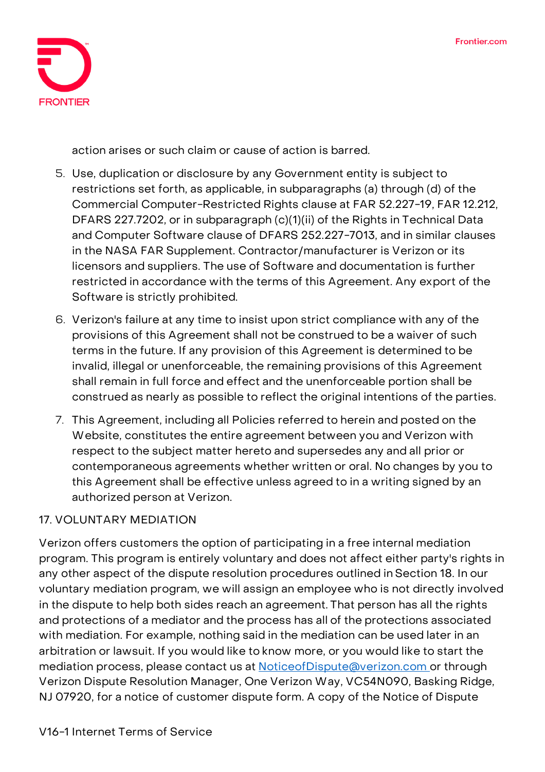

**action arises or such claim or cause of action is barred.**

- 5. Use, duplication or disclosure by any Government entity is subject to restrictions set forth, as applicable, in subparagraphs (a) through (d) of the Commercial Computer-Restricted Rights clause at FAR 52.227-19, FAR 12.212, DFARS 227.7202, or in subparagraph (c)(1)(ii) of the Rights in Technical Data and Computer Software clause of DFARS 252.227-7013, and in similar clauses in the NASA FAR Supplement. Contractor/manufacturer is Verizon or its licensors and suppliers. The use of Software and documentation is further restricted in accordance with the terms of this Agreement. Any export of the Software is strictly prohibited.
- 6. Verizon's failure at any time to insist upon strict compliance with any of the provisions of this Agreement shall not be construed to be a waiver of such terms in the future. If any provision of this Agreement is determined to be invalid, illegal or unenforceable, the remaining provisions of this Agreement shall remain in full force and effect and the unenforceable portion shall be construed as nearly as possible to reflect the original intentions of the parties.
- 7. This Agreement, including all Policies referred to herein and posted on the Website, constitutes the entire agreement between you and Verizon with respect to the subject matter hereto and supersedes any and all prior or contemporaneous agreements whether written or oral. No changes by you to this Agreement shall be effective unless agreed to in a writing signed by an authorized person at Verizon.

# **17. VOLUNTARY MEDIATION**

Verizon offers customers the option of participating in a free internal mediation program. This program is entirely voluntary and does not affect either party's rights in any other aspect of the dispute resolution procedures outlined in Section 18. In our voluntary mediation program, we will assign an employee who is not directly involved in the dispute to help both sides reach an agreement. That person has all the rights and protections of a mediator and the process has all of the protections associated with mediation. For example, nothing said in the mediation can be used later in an arbitration or lawsuit. If you would like to know more, or you would like to start the mediation process, please contact us at [NoticeofDispute@verizon.com o](mailto:NoticeofDispute@verizon.com)r through Verizon Dispute Resolution Manager, One Verizon Way, VC54N090, Basking Ridge, NJ 07920, for a notice of customer dispute form. A copy of the Notice of Dispute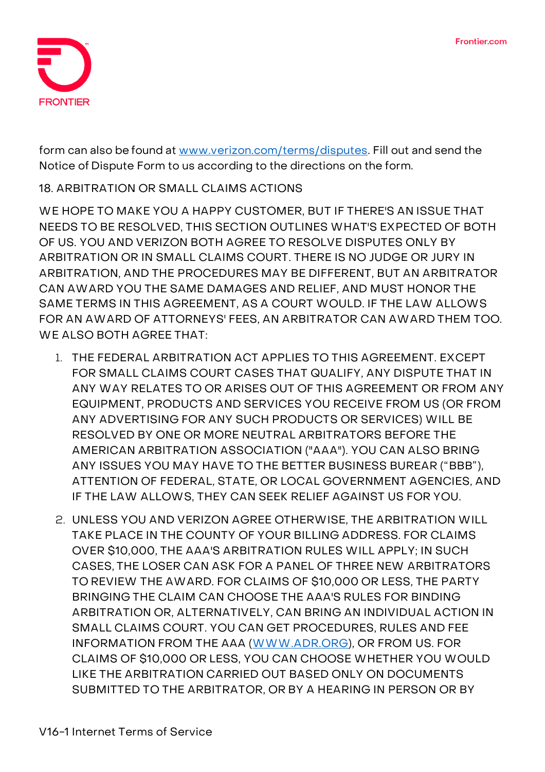

form can also be found at [www.verizon.com/terms/disputes.](http://www.verizon.com/terms/disputes) Fill out and send the Notice of Dispute Form to us according to the directions on the form.

## **18. ARBITRATION OR SMALL CLAIMS ACTIONS**

**WE HOPE TO MAKE YOU A HAPPY CUSTOMER, BUT IF THERE'S AN ISSUE THAT NEEDS TO BE RESOLVED, THIS SECTION OUTLINES WHAT'S EXPECTED OF BOTH OF US.** YOU AND VERIZON BOTH AGREE TO RESOLVE DISPUTES ONLY BY ARBITRATION OR IN SMALL CLAIMS COURT. THERE IS NO JUDGE OR JURY IN ARBITRATION, AND THE PROCEDURES MAY BE DIFFERENT, BUT AN ARBITRATOR CAN AWARD YOU THE SAME DAMAGES AND RELIEF, AND MUST HONOR THE SAME TERMS IN THIS AGREEMENT, AS A COURT WOULD. IF THE LAW ALLOWS FOR AN AWARD OF ATTORNEYS' FEES, AN ARBITRATOR CAN AWARD THEM TOO. WE ALSO BOTH AGREE THAT:

- 1. THE FEDERAL ARBITRATION ACT APPLIES TO THIS AGREEMENT. EXCEPT FOR SMALL CLAIMS COURT CASES THAT QUALIFY, ANY DISPUTE THAT IN ANY WAY RELATES TO OR ARISES OUT OF THIS AGREEMENT OR FROM ANY EQUIPMENT, PRODUCTS AND SERVICES YOU RECEIVE FROM US (OR FROM ANY ADVERTISING FOR ANY SUCH PRODUCTS OR SERVICES) WILL BE RESOLVED BY ONE OR MORE NEUTRAL ARBITRATORS BEFORE THE AMERICAN ARBITRATION ASSOCIATION ("AAA"). YOU CAN ALSO BRING ANY ISSUES YOU MAY HAVE TO THE BETTER BUSINESS BUREAR ("BBB"), ATTENTION OF FEDERAL, STATE, OR LOCAL GOVERNMENT AGENCIES, AND IF THE LAW ALLOWS, THEY CAN SEEK RELIEF AGAINST US FOR YOU.
- 2. UNLESS YOU AND VERIZON AGREE OTHERWISE, THE ARBITRATION WILL TAKE PLACE IN THE COUNTY OF YOUR BILLING ADDRESS. FOR CLAIMS OVER \$10,000, THE AAA'S ARBITRATION RULES WILL APPLY; IN SUCH CASES, THE LOSER CAN ASK FOR A PANEL OF THREE NEW ARBITRATORS TO REVIEW THE AWARD. FOR CLAIMS OF \$10,000 OR LESS, THE PARTY BRINGING THE CLAIM CAN CHOOSE THE AAA'S RULES FOR BINDING ARBITRATION OR, ALTERNATIVELY, CAN BRING AN INDIVIDUAL ACTION IN SMALL CLAIMS COURT. YOU CAN GET PROCEDURES, RULES AND FEE INFORMATION FROM THE AAA [\(WWW.ADR.ORG\)](http://www.adr.org/), OR FROM US. FOR CLAIMS OF \$10,000 OR LESS, YOU CAN CHOOSE WHETHER YOU WOULD LIKE THE ARBITRATION CARRIED OUT BASED ONLY ON DOCUMENTS SUBMITTED TO THE ARBITRATOR, OR BY A HEARING IN PERSON OR BY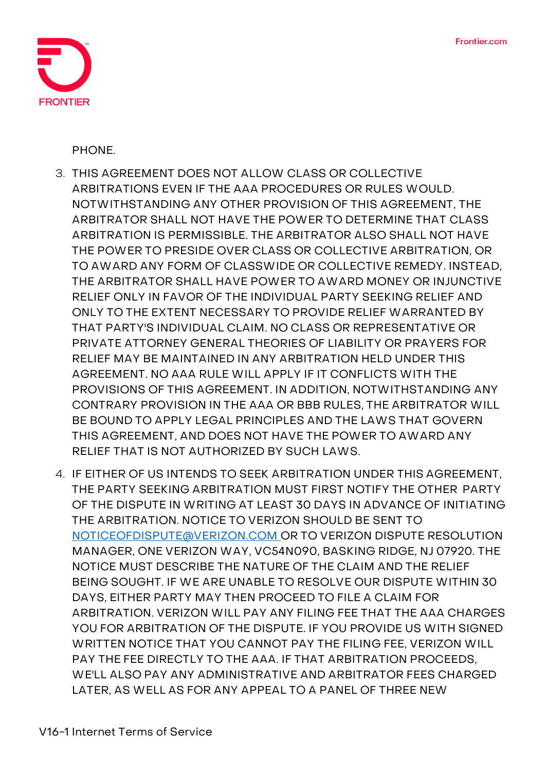

PHONE.

- 3. THIS AGREEMENT DOES NOT ALLOW CLASS OR COLLECTIVE ARBITRATIONS EVEN IF THE AAA PROCEDURES OR RULES WOULD. NOTWITHSTANDING ANY OTHER PROVISION OF THIS AGREEMENT, THE ARBITRATOR SHALL NOT HAVE THE POWER TO DETERMINE THAT CLASS ARBITRATION IS PERMISSIBLE. THE ARBITRATOR ALSO SHALL NOT HAVE THE POWER TO PRESIDE OVER CLASS OR COLLECTIVE ARBITRATION, OR TO AWARD ANY FORM OF CLASSWIDE OR COLLECTIVE REMEDY. INSTEAD, THE ARBITRATOR SHALL HAVE POWER TO AWARD MONEY OR INJUNCTIVE RELIEF ONLY IN FAVOR OF THE INDIVIDUAL PARTY SEEKING RELIEF AND ONLY TO THE EXTENT NECESSARY TO PROVIDE RELIEF WARRANTED BY THAT PARTY'S INDIVIDUAL CLAIM. NO CLASS OR REPRESENTATIVE OR PRIVATE ATTORNEY GENERAL THEORIES OF LIABILITY OR PRAYERS FOR RELIEF MAY BE MAINTAINED IN ANY ARBITRATION HELD UNDER THIS AGREEMENT. NO AAA RULE WILL APPLY IF IT CONFLICTS WITH THE PROVISIONS OF THIS AGREEMENT. IN ADDITION, NOTWITHSTANDING ANY CONTRARY PROVISION IN THE AAA OR BBB RULES, THE ARBITRATOR WILL BE BOUND TO APPLY LEGAL PRINCIPLES AND THE LAWS THAT GOVERN THIS AGREEMENT, AND DOES NOT HAVE THE POWER TO AWARD ANY RELIEF THAT IS NOT AUTHORIZED BY SUCH LAWS.
- 4. IF EITHER OF US INTENDS TO SEEK ARBITRATION UNDER THIS AGREEMENT, THE PARTY SEEKING ARBITRATION MUST FIRST NOTIFY THE OTHER PARTY OF THE DISPUTE IN WRITING AT LEAST 30 DAYS IN ADVANCE OF INITIATING THE ARBITRATION. NOTICE TO VERIZON SHOULD BE SENT TO [NOTICEOFDISPUTE@VERIZON.COM O](mailto:NOTICEOFDISPUTE@VERIZON.COM)R TO VERIZON DISPUTE RESOLUTION MANAGER, ONE VERIZON WAY, VC54N090, BASKING RIDGE, NJ 07920. THE NOTICE MUST DESCRIBE THE NATURE OF THE CLAIM AND THE RELIEF BEING SOUGHT. IF WE ARE UNABLE TO RESOLVE OUR DISPUTE WITHIN 30 DAYS, EITHER PARTY MAY THEN PROCEED TO FILE A CLAIM FOR ARBITRATION. VERIZON WILL PAY ANY FILING FEE THAT THE AAA CHARGES YOU FOR ARBITRATION OF THE DISPUTE. IF YOU PROVIDE US WITH SIGNED WRITTEN NOTICE THAT YOU CANNOT PAY THE FILING FEE, VERIZON WILL PAY THE FEE DIRECTLY TO THE AAA. IF THAT ARBITRATION PROCEEDS, WE'LL ALSO PAY ANY ADMINISTRATIVE AND ARBITRATOR FEES CHARGED LATER, AS WELL AS FOR ANY APPEAL TO A PANEL OF THREE NEW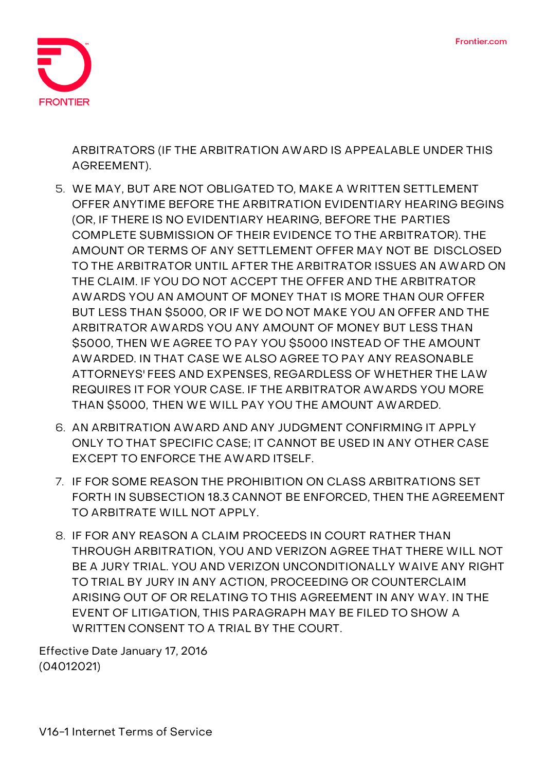

ARBITRATORS (IF THE ARBITRATION AWARD IS APPEALABLE UNDER THIS AGREEMENT).

- 5. WE MAY, BUT ARE NOT OBLIGATED TO, MAKE A WRITTEN SETTLEMENT OFFER ANYTIME BEFORE THE ARBITRATION EVIDENTIARY HEARING BEGINS (OR, IF THERE IS NO EVIDENTIARY HEARING, BEFORE THE PARTIES COMPLETE SUBMISSION OF THEIR EVIDENCE TO THE ARBITRATOR). THE AMOUNT OR TERMS OF ANY SETTLEMENT OFFER MAY NOT BE DISCLOSED TO THE ARBITRATOR UNTIL AFTER THE ARBITRATOR ISSUES AN AWARD ON THE CLAIM. IF YOU DO NOT ACCEPT THE OFFER AND THE ARBITRATOR AWARDS YOU AN AMOUNT OF MONEY THAT IS MORE THAN OUR OFFER BUT LESS THAN \$5000, OR IF WE DO NOT MAKE YOU AN OFFER AND THE ARBITRATOR AWARDS YOU ANY AMOUNT OF MONEY BUT LESS THAN \$5000, THEN WE AGREE TO PAY YOU \$5000 INSTEAD OF THE AMOUNT AWARDED. IN THAT CASE WE ALSO AGREE TO PAY ANY REASONABLE ATTORNEYS' FEES AND EXPENSES, REGARDLESS OF WHETHER THE LAW REQUIRES IT FOR YOUR CASE. IF THE ARBITRATOR AWARDS YOU MORE THAN \$5000, THEN WE WILL PAY YOU THE AMOUNT AWARDED.
- 6. AN ARBITRATION AWARD AND ANY JUDGMENT CONFIRMING IT APPLY ONLY TO THAT SPECIFIC CASE; IT CANNOT BE USED IN ANY OTHER CASE EXCEPT TO ENFORCE THE AWARD ITSELF.
- 7. IF FOR SOME REASON THE PROHIBITION ON CLASS ARBITRATIONS SET FORTH IN SUBSECTION 18.3 CANNOT BE ENFORCED, THEN THE AGREEMENT TO ARBITRATE WILL NOT APPLY.
- 8. IF FOR ANY REASON A CLAIM PROCEEDS IN COURT RATHER THAN THROUGH ARBITRATION, YOU AND VERIZON AGREE THAT THERE WILL NOT BE A JURY TRIAL. YOU AND VERIZON UNCONDITIONALLY WAIVE ANY RIGHT TO TRIAL BY JURY IN ANY ACTION, PROCEEDING OR COUNTERCLAIM ARISING OUT OF OR RELATING TO THIS AGREEMENT IN ANY WAY. IN THE EVENT OF LITIGATION, THIS PARAGRAPH MAY BE FILED TO SHOW A WRITTEN CONSENT TO A TRIAL BY THE COURT.

Effective Date January 17, 2016 (04012021)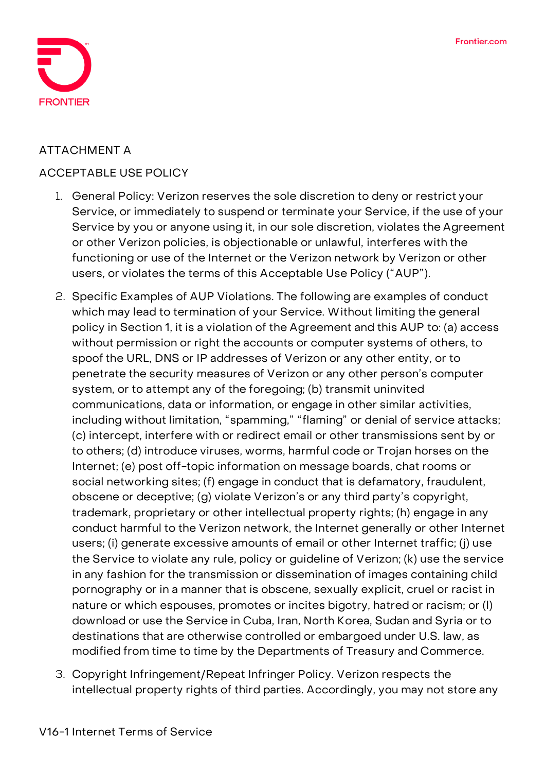

### **ATTACHMENT A**

#### **ACCEPTABLE USE POLICY**

- 1. General Policy: Verizon reserves the sole discretion to deny or restrict your Service, or immediately to suspend or terminate your Service, if the use of your Service by you or anyone using it, in our sole discretion, violates the Agreement or other Verizon policies, is objectionable or unlawful, interferes with the functioning or use of the Internet or the Verizon network by Verizon or other users, or violates the terms of this Acceptable Use Policy ("AUP").
- 2. Specific Examples of AUP Violations. The following are examples of conduct which may lead to termination of your Service. Without limiting the general policy in Section 1, it is a violation of the Agreement and this AUP to: (a) access without permission or right the accounts or computer systems of others, to spoof the URL, DNS or IP addresses of Verizon or any other entity, or to penetrate the security measures of Verizon or any other person's computer system, or to attempt any of the foregoing; (b) transmit uninvited communications, data or information, or engage in other similar activities, including without limitation, "spamming," "flaming" or denial of service attacks; (c) intercept, interfere with or redirect email or other transmissions sent by or to others; (d) introduce viruses, worms, harmful code or Trojan horses on the Internet; (e) post off-topic information on message boards, chat rooms or social networking sites; (f) engage in conduct that is defamatory, fraudulent, obscene or deceptive; (g) violate Verizon's or any third party's copyright, trademark, proprietary or other intellectual property rights; (h) engage in any conduct harmful to the Verizon network, the Internet generally or other Internet users; (i) generate excessive amounts of email or other Internet traffic; (j) use the Service to violate any rule, policy or guideline of Verizon; (k) use the service in any fashion for the transmission or dissemination of images containing child pornography or in a manner that is obscene, sexually explicit, cruel or racist in nature or which espouses, promotes or incites bigotry, hatred or racism; or (l) download or use the Service in Cuba, Iran, North Korea, Sudan and Syria or to destinations that are otherwise controlled or embargoed under U.S. law, as modified from time to time by the Departments of Treasury and Commerce.
- 3. Copyright Infringement/Repeat Infringer Policy. Verizon respects the intellectual property rights of third parties. Accordingly, you may not store any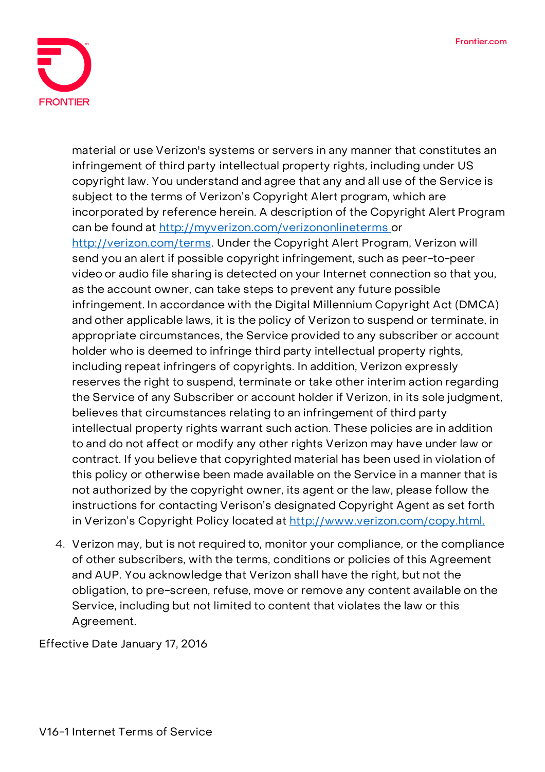

material or use Verizon's systems or servers in any manner that constitutes an infringement of third party intellectual property rights, including under US copyright law. You understand and agree that any and all use of the Service is subject to the terms of Verizon's Copyright Alert program, which are incorporated by reference herein. A description of the Copyright Alert Program can be found at<http://myverizon.com/verizononlineterms> or [http://verizon.com/terms.](http://verizon.com/terms) Under the Copyright Alert Program, Verizon will send you an alert if possible copyright infringement, such as peer-to-peer video or audio file sharing is detected on your Internet connection so that you, as the account owner, can take steps to prevent any future possible infringement. In accordance with the Digital Millennium Copyright Act (DMCA) and other applicable laws, it is the policy of Verizon to suspend or terminate, in appropriate circumstances, the Service provided to any subscriber or account holder who is deemed to infringe third party intellectual property rights, including repeat infringers of copyrights. In addition, Verizon expressly reserves the right to suspend, terminate or take other interim action regarding the Service of any Subscriber or account holder if Verizon, in its sole judgment, believes that circumstances relating to an infringement of third party intellectual property rights warrant such action. These policies are in addition to and do not affect or modify any other rights Verizon may have under law or contract. If you believe that copyrighted material has been used in violation of this policy or otherwise been made available on the Service in a manner that is not authorized by the copyright owner, its agent or the law, please follow the instructions for contacting Verison's designated Copyright Agent as set forth in Verizon's Copyright Policy located at <http://www.verizon.com/copy.html.>

4. Verizon may, but is not required to, monitor your compliance, or the compliance of other subscribers, with the terms, conditions or policies of this Agreement and AUP. You acknowledge that Verizon shall have the right, but not the obligation, to pre-screen, refuse, move or remove any content available on the Service, including but not limited to content that violates the law or this Agreement.

Effective Date January 17, 2016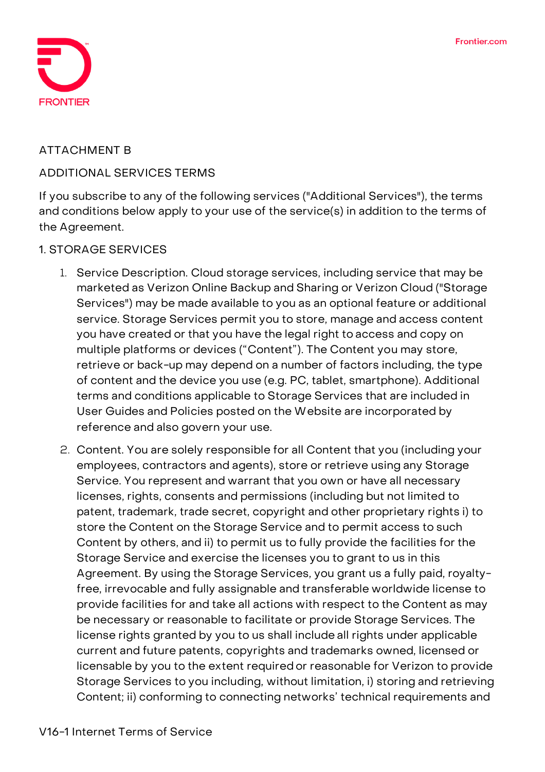

#### **ATTACHMENT B**

#### **ADDITIONAL SERVICES TERMS**

If you subscribe to any of the following services ("Additional Services"), the terms and conditions below apply to your use of the service(s) in addition to the terms of the Agreement.

#### **1. STORAGE SERVICES**

- 1. **Service Description.** Cloud storage services, including service that may be marketed as Verizon Online Backup and Sharing or Verizon Cloud ("Storage Services") may be made available to you as an optional feature or additional service. Storage Services permit you to store, manage and access content you have created or that you have the legal right to access and copy on multiple platforms or devices ("Content"). The Content you may store, retrieve or back-up may depend on a number of factors including, the type of content and the device you use (e.g. PC, tablet, smartphone). Additional terms and conditions applicable to Storage Services that are included in User Guides and Policies posted on the Website are incorporated by reference and also govern your use.
- 2. **Content.** You are solely responsible for all Content that you (including your employees, contractors and agents), store or retrieve using any Storage Service. You represent and warrant that you own or have all necessary licenses, rights, consents and permissions (including but not limited to patent, trademark, trade secret, copyright and other proprietary rights i) to store the Content on the Storage Service and to permit access to such Content by others, and ii) to permit us to fully provide the facilities for the Storage Service and exercise the licenses you to grant to us in this Agreement. By using the Storage Services, you grant us a fully paid, royaltyfree, irrevocable and fully assignable and transferable worldwide license to provide facilities for and take all actions with respect to the Content as may be necessary or reasonable to facilitate or provide Storage Services. The license rights granted by you to us shall include all rights under applicable current and future patents, copyrights and trademarks owned, licensed or licensable by you to the extent required or reasonable for Verizon to provide Storage Services to you including, without limitation, i) storing and retrieving Content; ii) conforming to connecting networks' technical requirements and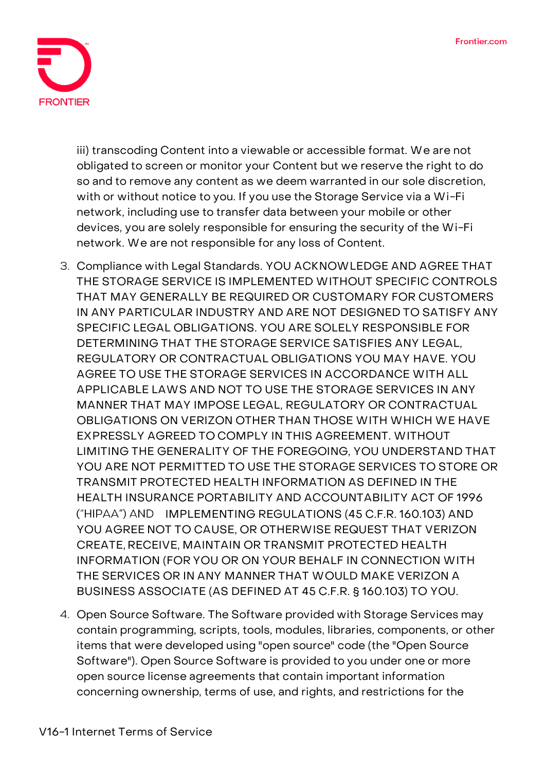

iii) transcoding Content into a viewable or accessible format. We are not obligated to screen or monitor your Content but we reserve the right to do so and to remove any content as we deem warranted in our sole discretion, with or without notice to you. If you use the Storage Service via a Wi-Fi network, including use to transfer data between your mobile or other devices, you are solely responsible for ensuring the security of the Wi-Fi network. We are not responsible for any loss of Content.

- 3. **Compliance with Legal Standards.** YOU ACKNOWLEDGE AND AGREE THAT THE STORAGE SERVICE IS IMPLEMENTED WITHOUT SPECIFIC CONTROLS THAT MAY GENERALLY BE REQUIRED OR CUSTOMARY FOR CUSTOMERS IN ANY PARTICULAR INDUSTRY AND ARE NOT DESIGNED TO SATISFY ANY SPECIFIC LEGAL OBLIGATIONS. YOU ARE SOLELY RESPONSIBLE FOR DETERMINING THAT THE STORAGE SERVICE SATISFIES ANY LEGAL, REGULATORY OR CONTRACTUAL OBLIGATIONS YOU MAY HAVE. YOU AGREE TO USE THE STORAGE SERVICES IN ACCORDANCE WITH ALL APPLICABLE LAWS AND NOT TO USE THE STORAGE SERVICES IN ANY MANNER THAT MAY IMPOSE LEGAL, REGULATORY OR CONTRACTUAL OBLIGATIONS ON VERIZON OTHER THAN THOSE WITH WHICH WE HAVE EXPRESSLY AGREED TO COMPLY IN THIS AGREEMENT. WITHOUT LIMITING THE GENERALITY OF THE FOREGOING, YOU UNDERSTAND THAT YOU ARE NOT PERMITTED TO USE THE STORAGE SERVICES TO STORE OR TRANSMIT PROTECTED HEALTH INFORMATION AS DEFINED IN THE HEALTH INSURANCE PORTABILITY AND ACCOUNTABILITY ACT OF 1996 ("HIPAA") AND IMPLEMENTING REGULATIONS (45 C.F.R. 160.103) AND YOU AGREE NOT TO CAUSE, OR OTHERWISE REQUEST THAT VERIZON CREATE, RECEIVE, MAINTAIN OR TRANSMIT PROTECTED HEALTH INFORMATION (FOR YOU OR ON YOUR BEHALF IN CONNECTION WITH THE SERVICES OR IN ANY MANNER THAT WOULD MAKE VERIZON A BUSINESS ASSOCIATE (AS DEFINED AT 45 C.F.R. § 160.103) TO YOU.
- 4. **Open Source Software.** The Software provided with Storage Services may contain programming, scripts, tools, modules, libraries, components, or other items that were developed using "open source" code (the "Open Source Software"). Open Source Software is provided to you under one or more open source license agreements that contain important information concerning ownership, terms of use, and rights, and restrictions for the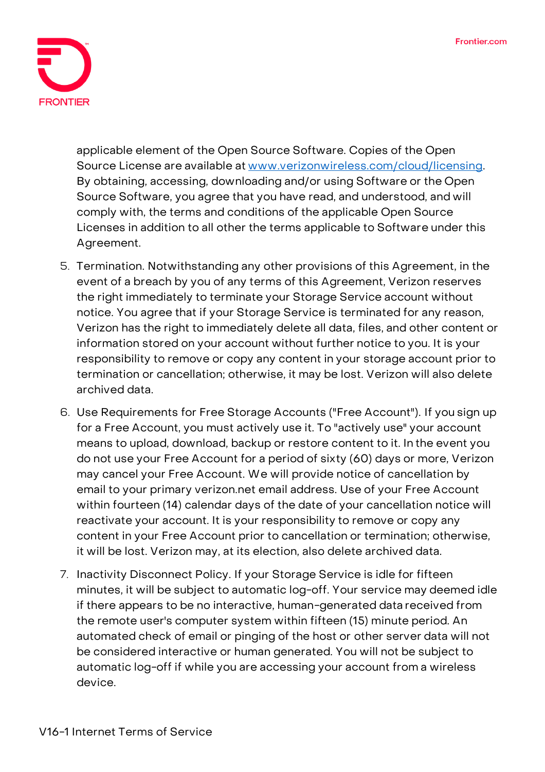

applicable element of the Open Source Software. Copies of the Open Source License are available at [www.verizonwireless.com/cloud/licensing.](http://www.verizonwireless.com/cloud/licensing) By obtaining, accessing, downloading and/or using Software or the Open Source Software, you agree that you have read, and understood, and will comply with, the terms and conditions of the applicable Open Source Licenses in addition to all other the terms applicable to Software under this Agreement.

- 5. **Termination.** Notwithstanding any other provisions of this Agreement, in the event of a breach by you of any terms of this Agreement, Verizon reserves the right immediately to terminate your Storage Service account without notice. You agree that if your Storage Service is terminated for any reason, Verizon has the right to immediately delete all data, files, and other content or information stored on your account without further notice to you. It is your responsibility to remove or copy any content in your storage account prior to termination or cancellation; otherwise, it may be lost. Verizon will also delete archived data.
- 6. **Use Requirements for Free Storage Accounts ("Free Account").** If you sign up for a Free Account, you must actively use it. To "actively use" your account means to upload, download, backup or restore content to it. In the event you do not use your Free Account for a period of sixty (60) days or more, Verizon may cancel your Free Account. We will provide notice of cancellation by email to your primary verizon.net email address. Use of your Free Account within fourteen (14) calendar days of the date of your cancellation notice will reactivate your account. It is your responsibility to remove or copy any content in your Free Account prior to cancellation or termination; otherwise, it will be lost. Verizon may, at its election, also delete archived data.
- 7. **Inactivity Disconnect Policy.** If your Storage Service is idle for fifteen minutes, it will be subject to automatic log-off. Your service may deemed idle if there appears to be no interactive, human-generated data received from the remote user's computer system within fifteen (15) minute period. An automated check of email or pinging of the host or other server data will not be considered interactive or human generated. You will not be subject to automatic log-off if while you are accessing your account from a wireless device.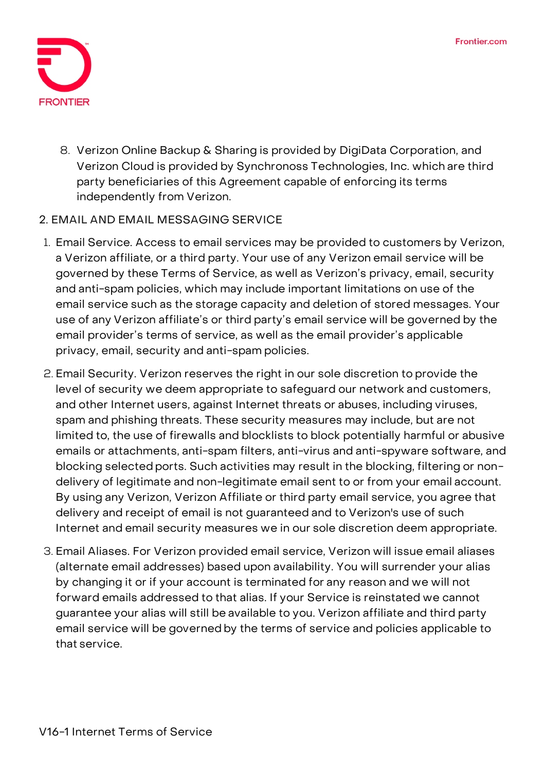

8. **Verizon Online Backup & Sharing is provided by DigiData Corporation,** and Verizon Cloud is provided by Synchronoss Technologies, Inc. which are third party beneficiaries of this Agreement capable of enforcing its terms independently from Verizon.

## **2. EMAIL AND EMAIL MESSAGING SERVICE**

- 1. **Email Service.** Access to email services may be provided to customers by Verizon, a Verizon affiliate, or a third party. Your use of any Verizon email service will be governed by these Terms of Service, as well as Verizon's privacy, email, security and anti-spam policies, which may include important limitations on use of the email service such as the storage capacity and deletion of stored messages. Your use of any Verizon affiliate's or third party's email service will be governed by the email provider's terms of service, as well as the email provider's applicable privacy, email, security and anti-spam policies.
- 2. **Email Security.** Verizon reserves the right in our sole discretion to provide the level of security we deem appropriate to safeguard our network and customers, and other Internet users, against Internet threats or abuses, including viruses, spam and phishing threats. These security measures may include, but are not limited to, the use of firewalls and blocklists to block potentially harmful or abusive emails or attachments, anti-spam filters, anti-virus and anti-spyware software, and blocking selected ports. **Such activities may result in the blocking, filtering or nondelivery of legitimate and non-legitimate email sent to or from your email account. By using any Verizon, Verizon Affiliate or third party email service, you agree that delivery and receipt of email is not guaranteed and to Verizon's use of such Internet and email security measures we in our sole discretion deem appropriate.**
- 3. **Email Aliases.** For Verizon provided email service, Verizon will issue email aliases (alternate email addresses) based upon availability. You will surrender your alias by changing it or if your account is terminated for any reason and we will not forward emails addressed to that alias. If your Service is reinstated we cannot guarantee your alias will still be available to you. Verizon affiliate and third party email service will be governed by the terms of service and policies applicable to that service.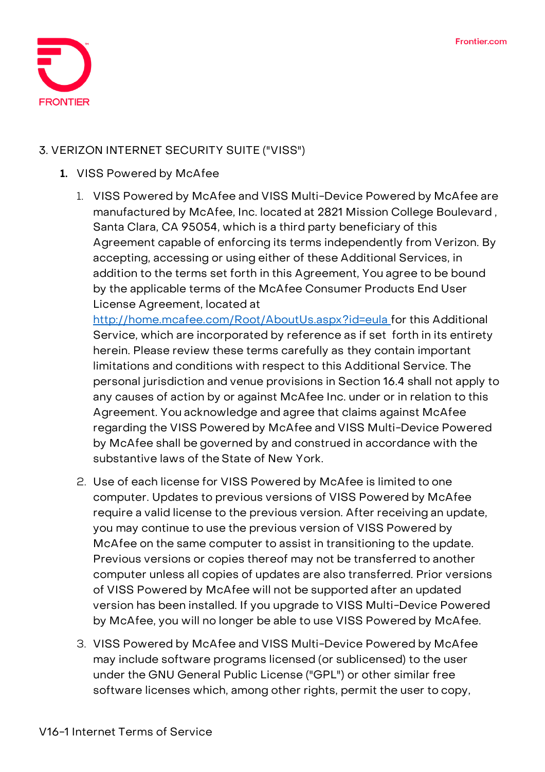

## **3. VERIZON INTERNET SECURITY SUITE ("VISS")**

#### **1. VISS Powered by McAfee**

1. VISS Powered by McAfee and VISS Multi-Device Powered by McAfee are manufactured by McAfee, Inc. located at 2821 Mission College Boulevard , Santa Clara, CA 95054, which is a third party beneficiary of this Agreement capable of enforcing its terms independently from Verizon. By accepting, accessing or using either of these Additional Services, in addition to the terms set forth in this Agreement, You agree to be bound by the applicable terms of the McAfee Consumer Products End User License Agreement, located at

[http://home.mcafee.com/Root/AboutUs.aspx?id=eula f](http://home.mcafee.com/Root/AboutUs.aspx?id=eula)or this Additional Service, which are incorporated by reference as if set forth in its entirety herein. Please review these terms carefully as they contain important limitations and conditions with respect to this Additional Service. The personal jurisdiction and venue provisions in Section 16.4 shall not apply to any causes of action by or against McAfee Inc. under or in relation to this Agreement. You acknowledge and agree that claims against McAfee regarding the VISS Powered by McAfee and VISS Multi-Device Powered by McAfee shall be governed by and construed in accordance with the substantive laws of the State of New York.

- 2. Use of each license for VISS Powered by McAfee is limited to one computer. Updates to previous versions of VISS Powered by McAfee require a valid license to the previous version. After receiving an update, you may continue to use the previous version of VISS Powered by McAfee on the same computer to assist in transitioning to the update. Previous versions or copies thereof may not be transferred to another computer unless all copies of updates are also transferred. Prior versions of VISS Powered by McAfee will not be supported after an updated version has been installed. If you upgrade to VISS Multi-Device Powered by McAfee, you will no longer be able to use VISS Powered by McAfee.
- 3. VISS Powered by McAfee and VISS Multi-Device Powered by McAfee may include software programs licensed (or sublicensed) to the user under the GNU General Public License ("GPL") or other similar free software licenses which, among other rights, permit the user to copy,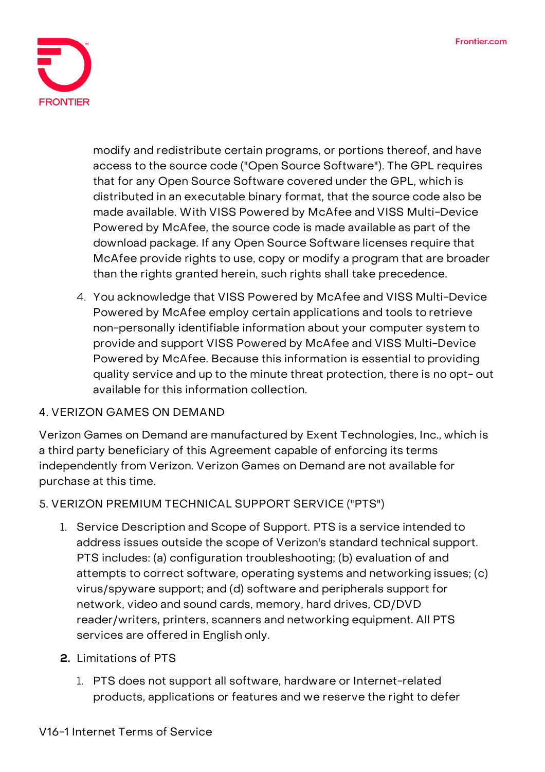

modify and redistribute certain programs, or portions thereof, and have access to the source code ("Open Source Software"). The GPL requires that for any Open Source Software covered under the GPL, which is distributed in an executable binary format, that the source code also be made available. With VISS Powered by McAfee and VISS Multi-Device Powered by McAfee, the source code is made available as part of the download package. If any Open Source Software licenses require that McAfee provide rights to use, copy or modify a program that are broader than the rights granted herein, such rights shall take precedence.

4. You acknowledge that VISS Powered by McAfee and VISS Multi-Device Powered by McAfee employ certain applications and tools to retrieve non-personally identifiable information about your computer system to provide and support VISS Powered by McAfee and VISS Multi-Device Powered by McAfee. Because this information is essential to providing quality service and up to the minute threat protection, there is no opt- out available for this information collection.

## **4. VERIZON GAMES ON DEMAND**

Verizon Games on Demand are manufactured by Exent Technologies, Inc., which is a third party beneficiary of this Agreement capable of enforcing its terms independently from Verizon. Verizon Games on Demand are not available for purchase at this time.

**5. VERIZON PREMIUM TECHNICAL SUPPORT SERVICE ("PTS")**

- 1. **Service Description and Scope of Support.** PTS is a service intended to address issues outside the scope of Verizon's standard technical support. PTS includes: (a) configuration troubleshooting; (b) evaluation of and attempts to correct software, operating systems and networking issues; (c) virus/spyware support; and (d) software and peripherals support for network, video and sound cards, memory, hard drives, CD/DVD reader/writers, printers, scanners and networking equipment. All PTS services are offered in English only.
- **2. Limitations of PTS**
	- 1. PTS does not support all software, hardware or Internet-related products, applications or features and we reserve the right to defer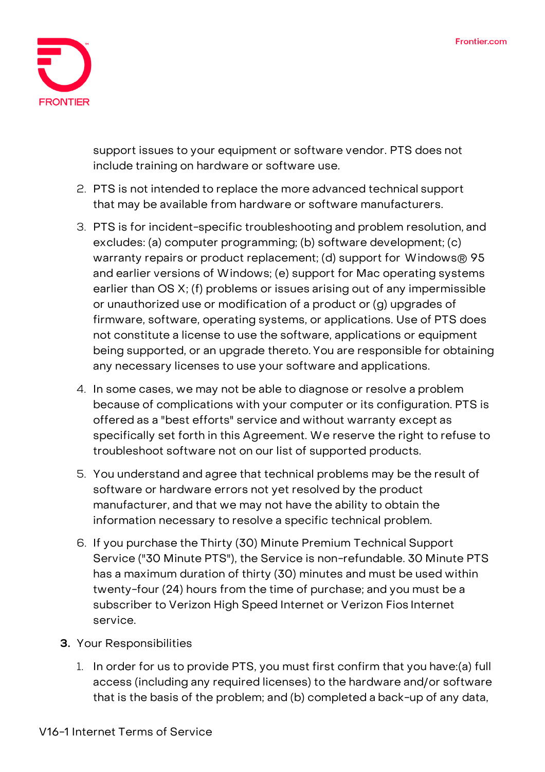

support issues to your equipment or software vendor. PTS does not include training on hardware or software use.

- 2. PTS is not intended to replace the more advanced technical support that may be available from hardware or software manufacturers.
- 3. PTS is for incident-specific troubleshooting and problem resolution, and excludes: (a) computer programming; (b) software development; (c) warranty repairs or product replacement; (d) support for Windows® 95 and earlier versions of Windows; (e) support for Mac operating systems earlier than OS X; (f) problems or issues arising out of any impermissible or unauthorized use or modification of a product or (g) upgrades of firmware, software, operating systems, or applications. Use of PTS does not constitute a license to use the software, applications or equipment being supported, or an upgrade thereto. You are responsible for obtaining any necessary licenses to use your software and applications.
- 4. In some cases, we may not be able to diagnose or resolve a problem because of complications with your computer or its configuration. PTS is offered as a "best efforts" service and without warranty except as specifically set forth in this Agreement. We reserve the right to refuse to troubleshoot software not on our list of supported products.
- 5. You understand and agree that technical problems may be the result of software or hardware errors not yet resolved by the product manufacturer, and that we may not have the ability to obtain the information necessary to resolve a specific technical problem.
- 6. If you purchase the Thirty (30) Minute Premium Technical Support Service ("30 Minute PTS"), the Service is non-refundable. 30 Minute PTS has a maximum duration of thirty (30) minutes and must be used within twenty-four (24) hours from the time of purchase; and you must be a subscriber to Verizon High Speed Internet or Verizon Fios Internet service.
- **3. Your Responsibilities**
	- 1. In order for us to provide PTS, you must first confirm that you have:(a) full access (including any required licenses) to the hardware and/or software that is the basis of the problem; and (b) completed a back-up of any data,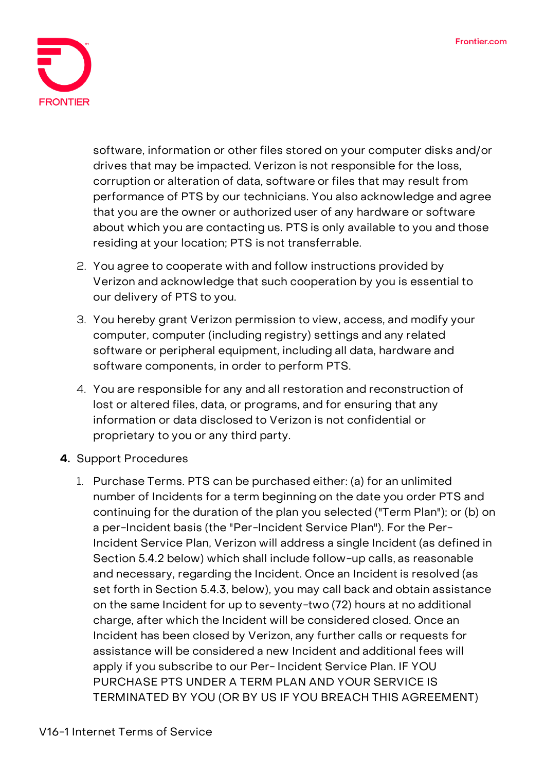

software, information or other files stored on your computer disks and/or drives that may be impacted. **Verizon is not responsible for the loss, corruption or alteration of data, software or files that may result from performance of PTS by our technicians.** You also acknowledge and agree that you are the owner or authorized user of any hardware or software about which you are contacting us. PTS is only available to you and those residing at your location; PTS is not transferrable.

- 2. You agree to cooperate with and follow instructions provided by Verizon and acknowledge that such cooperation by you is essential to our delivery of PTS to you.
- 3. You hereby grant Verizon permission to view, access, and modify your computer, computer (including registry) settings and any related software or peripheral equipment, including all data, hardware and software components, in order to perform PTS.
- 4. You are responsible for any and all restoration and reconstruction of lost or altered files, data, or programs, and for ensuring that any information or data disclosed to Verizon is not confidential or proprietary to you or any third party.
- **4. Support Procedures**
	- 1. Purchase Terms. PTS can be purchased either: (a) for an unlimited number of Incidents for a term beginning on the date you order PTS and continuing for the duration of the plan you selected ("Term Plan"); or (b) on a per-Incident basis (the "Per-Incident Service Plan"). For the Per-Incident Service Plan, Verizon will address a single Incident (as defined in Section 5.4.2 below) which shall include follow-up calls, as reasonable and necessary, regarding the Incident. Once an Incident is resolved (as set forth in Section 5.4.3, below), you may call back and obtain assistance on the same Incident for up to seventy-two (72) hours at no additional charge, after which the Incident will be considered closed. Once an Incident has been closed by Verizon, any further calls or requests for assistance will be considered a new Incident and additional fees will apply if you subscribe to our Per- Incident Service Plan. IF YOU PURCHASE PTS UNDER A TERM PLAN AND YOUR SERVICE IS TERMINATED BY YOU (OR BY US IF YOU BREACH THIS AGREEMENT)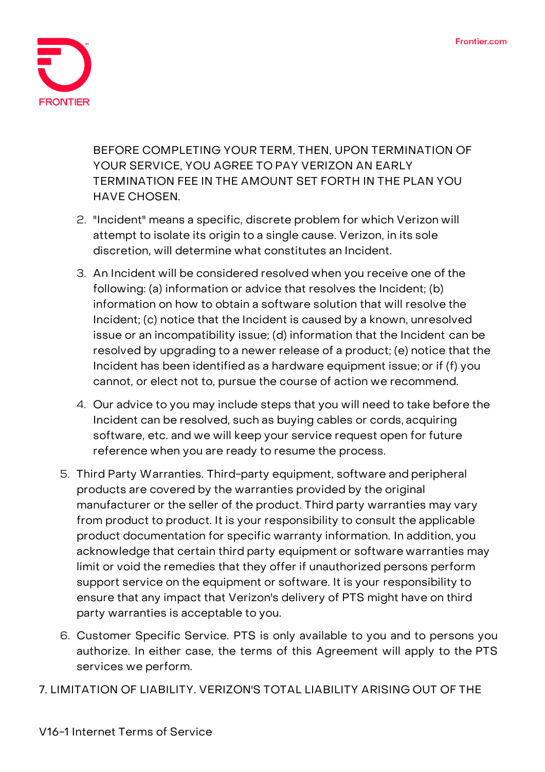

BEFORE COMPLETING YOUR TERM, THEN, UPON TERMINATION OF YOUR SERVICE, YOU AGREE TO PAY VERIZON AN EARLY TERMINATION FEE IN THE AMOUNT SET FORTH IN THE PLAN YOU HAVE CHOSEN.

- 2. "Incident" means a specific, discrete problem for which Verizon will attempt to isolate its origin to a single cause. Verizon, in its sole discretion, will determine what constitutes an Incident.
- 3. An Incident will be considered resolved when you receive one of the following: (a) information or advice that resolves the Incident; (b) information on how to obtain a software solution that will resolve the Incident; (c) notice that the Incident is caused by a known, unresolved issue or an incompatibility issue; (d) information that the Incident can be resolved by upgrading to a newer release of a product; (e) notice that the Incident has been identified as a hardware equipment issue; or if (f) you cannot, or elect not to, pursue the course of action we recommend.
- 4. Our advice to you may include steps that you will need to take before the Incident can be resolved, such as buying cables or cords, acquiring software, etc. and we will keep your service request open for future reference when you are ready to resume the process.
- 5. **Third Party Warranties.** Third-party equipment, software and peripheral products are covered by the warranties provided by the original manufacturer or the seller of the product. Third party warranties may vary from product to product. It is your responsibility to consult the applicable product documentation for specific warranty information. **In addition, you acknowledge that certain third party equipment or software warranties may limit or void the remedies that they offer if unauthorized persons perform support service on the equipment or software. It is your responsibility to ensure that any impact that Verizon's delivery of PTS might have on third party warranties is acceptable to you.**
- 6. **Customer Specific Service.** PTS is only available to you and to persons you authorize. In either case, the terms of this Agreement will apply to the PTS services we perform.
- **7. LIMITATION OF LIABILITY. VERIZON'S TOTAL LIABILITY ARISING OUT OF THE**